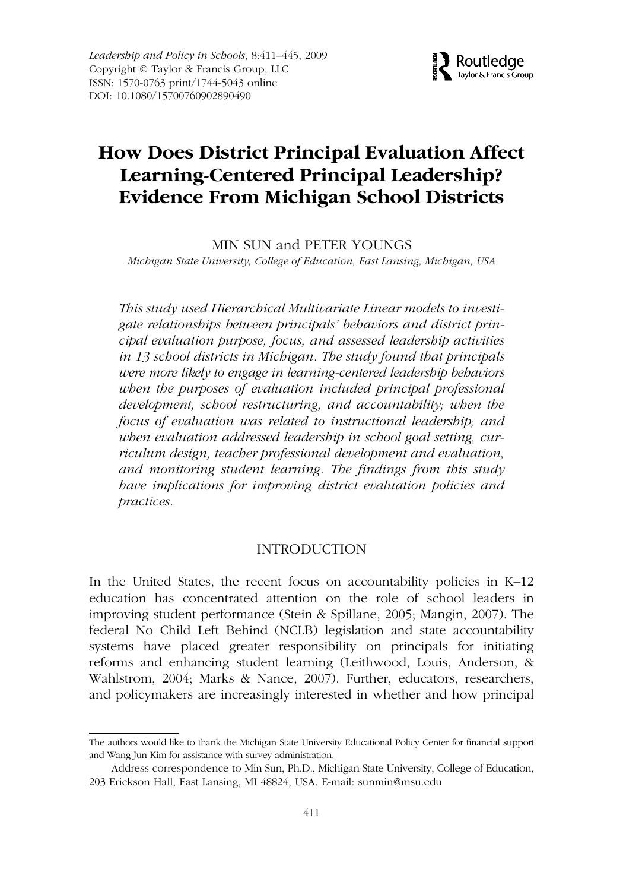

# NLPS 1570-0763 1744-5043Leadership and Policy in Schools, Vol. 8, No. 4, Aug 2009: pp. 0–0 Schools **How Does District Principal Evaluation Affect Learning-Centered Principal Leadership? Evidence From Michigan School Districts**

MIN SUN and PETER YOUNGS

*Michigan State University, College of Education, East Lansing, Michigan, USA*

*This study used Hierarchical Multivariate Linear models to investigate relationships between principals' behaviors and district principal evaluation purpose, focus, and assessed leadership activities in 13 school districts in Michigan. The study found that principals were more likely to engage in learning-centered leadership behaviors when the purposes of evaluation included principal professional development, school restructuring, and accountability; when the focus of evaluation was related to instructional leadership; and when evaluation addressed leadership in school goal setting, curriculum design, teacher professional development and evaluation, and monitoring student learning. The findings from this study have implications for improving district evaluation policies and practices.*

#### INTRODUCTION

In the United States, the recent focus on accountability policies in K–12 education has concentrated attention on the role of school leaders in improving student performance (Stein & Spillane, 2005; Mangin, 2007). The federal No Child Left Behind (NCLB) legislation and state accountability systems have placed greater responsibility on principals for initiating reforms and enhancing student learning (Leithwood, Louis, Anderson, & Wahlstrom, 2004; Marks & Nance, 2007). Further, educators, researchers, and policymakers are increasingly interested in whether and how principal

The authors would like to thank the Michigan State University Educational Policy Center for financial support and Wang Jun Kim for assistance with survey administration.

Address correspondence to Min Sun, Ph.D., Michigan State University, College of Education, 203 Erickson Hall, East Lansing, MI 48824, USA. E-mail: sunmin@msu.edu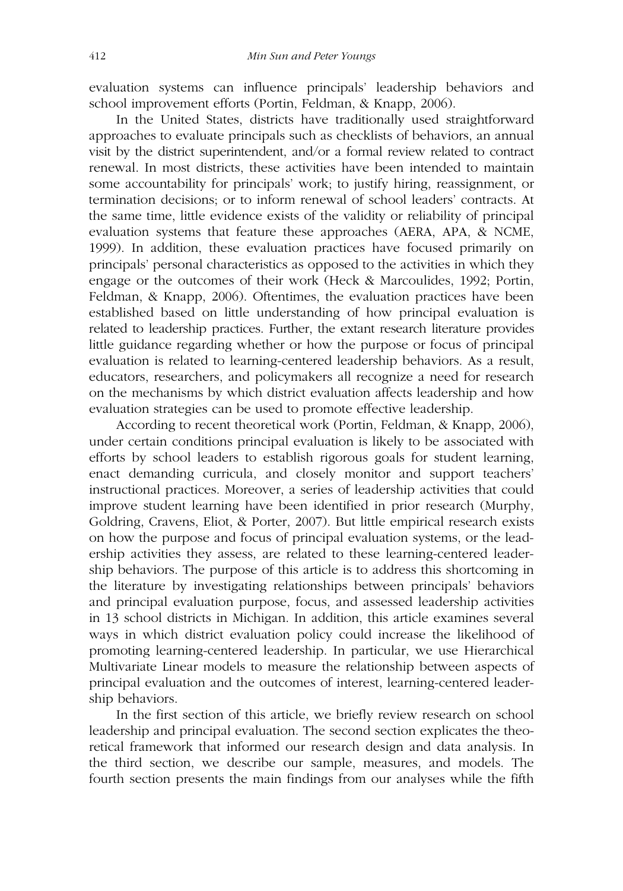evaluation systems can influence principals' leadership behaviors and school improvement efforts (Portin, Feldman, & Knapp, 2006).

In the United States, districts have traditionally used straightforward approaches to evaluate principals such as checklists of behaviors, an annual visit by the district superintendent, and/or a formal review related to contract renewal. In most districts, these activities have been intended to maintain some accountability for principals' work; to justify hiring, reassignment, or termination decisions; or to inform renewal of school leaders' contracts. At the same time, little evidence exists of the validity or reliability of principal evaluation systems that feature these approaches (AERA, APA, & NCME, 1999). In addition, these evaluation practices have focused primarily on principals' personal characteristics as opposed to the activities in which they engage or the outcomes of their work (Heck & Marcoulides, 1992; Portin, Feldman, & Knapp, 2006). Oftentimes, the evaluation practices have been established based on little understanding of how principal evaluation is related to leadership practices. Further, the extant research literature provides little guidance regarding whether or how the purpose or focus of principal evaluation is related to learning-centered leadership behaviors. As a result, educators, researchers, and policymakers all recognize a need for research on the mechanisms by which district evaluation affects leadership and how evaluation strategies can be used to promote effective leadership.

According to recent theoretical work (Portin, Feldman, & Knapp, 2006), under certain conditions principal evaluation is likely to be associated with efforts by school leaders to establish rigorous goals for student learning, enact demanding curricula, and closely monitor and support teachers' instructional practices. Moreover, a series of leadership activities that could improve student learning have been identified in prior research (Murphy, Goldring, Cravens, Eliot, & Porter, 2007). But little empirical research exists on how the purpose and focus of principal evaluation systems, or the leadership activities they assess, are related to these learning-centered leadership behaviors. The purpose of this article is to address this shortcoming in the literature by investigating relationships between principals' behaviors and principal evaluation purpose, focus, and assessed leadership activities in 13 school districts in Michigan. In addition, this article examines several ways in which district evaluation policy could increase the likelihood of promoting learning-centered leadership. In particular, we use Hierarchical Multivariate Linear models to measure the relationship between aspects of principal evaluation and the outcomes of interest, learning-centered leadership behaviors.

In the first section of this article, we briefly review research on school leadership and principal evaluation. The second section explicates the theoretical framework that informed our research design and data analysis. In the third section, we describe our sample, measures, and models. The fourth section presents the main findings from our analyses while the fifth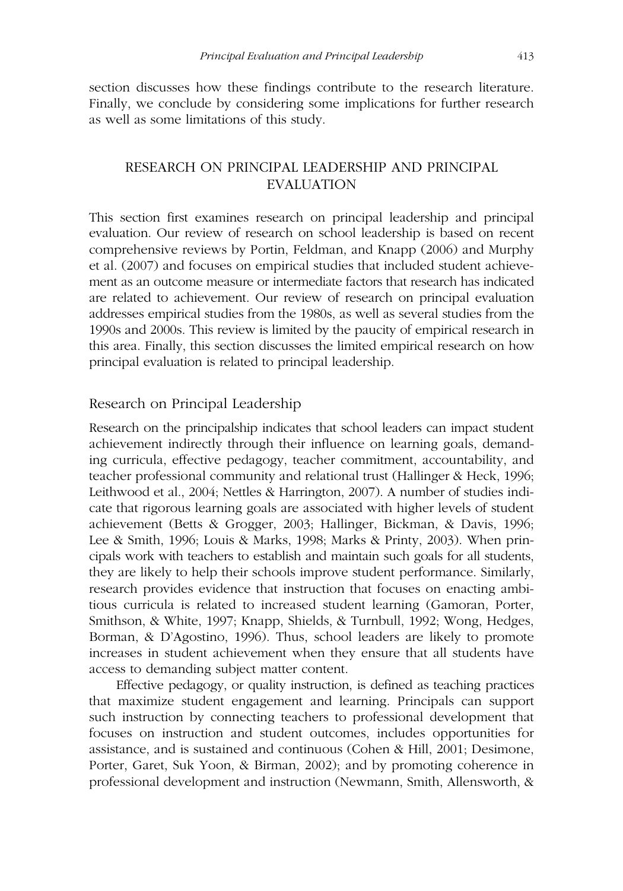section discusses how these findings contribute to the research literature. Finally, we conclude by considering some implications for further research as well as some limitations of this study.

## RESEARCH ON PRINCIPAL LEADERSHIP AND PRINCIPAL EVALUATION

This section first examines research on principal leadership and principal evaluation. Our review of research on school leadership is based on recent comprehensive reviews by Portin, Feldman, and Knapp (2006) and Murphy et al. (2007) and focuses on empirical studies that included student achievement as an outcome measure or intermediate factors that research has indicated are related to achievement. Our review of research on principal evaluation addresses empirical studies from the 1980s, as well as several studies from the 1990s and 2000s. This review is limited by the paucity of empirical research in this area. Finally, this section discusses the limited empirical research on how principal evaluation is related to principal leadership.

### Research on Principal Leadership

Research on the principalship indicates that school leaders can impact student achievement indirectly through their influence on learning goals, demanding curricula, effective pedagogy, teacher commitment, accountability, and teacher professional community and relational trust (Hallinger & Heck, 1996; Leithwood et al., 2004; Nettles & Harrington, 2007). A number of studies indicate that rigorous learning goals are associated with higher levels of student achievement (Betts & Grogger, 2003; Hallinger, Bickman, & Davis, 1996; Lee & Smith, 1996; Louis & Marks, 1998; Marks & Printy, 2003). When principals work with teachers to establish and maintain such goals for all students, they are likely to help their schools improve student performance. Similarly, research provides evidence that instruction that focuses on enacting ambitious curricula is related to increased student learning (Gamoran, Porter, Smithson, & White, 1997; Knapp, Shields, & Turnbull, 1992; Wong, Hedges, Borman, & D'Agostino, 1996). Thus, school leaders are likely to promote increases in student achievement when they ensure that all students have access to demanding subject matter content.

Effective pedagogy, or quality instruction, is defined as teaching practices that maximize student engagement and learning. Principals can support such instruction by connecting teachers to professional development that focuses on instruction and student outcomes, includes opportunities for assistance, and is sustained and continuous (Cohen & Hill, 2001; Desimone, Porter, Garet, Suk Yoon, & Birman, 2002); and by promoting coherence in professional development and instruction (Newmann, Smith, Allensworth, &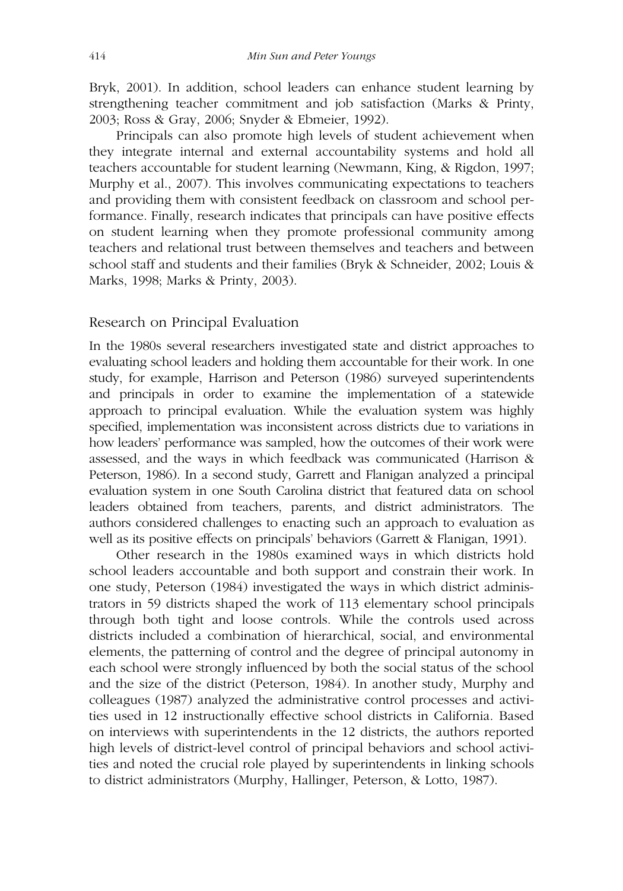Bryk, 2001). In addition, school leaders can enhance student learning by strengthening teacher commitment and job satisfaction (Marks & Printy, 2003; Ross & Gray, 2006; Snyder & Ebmeier, 1992).

Principals can also promote high levels of student achievement when they integrate internal and external accountability systems and hold all teachers accountable for student learning (Newmann, King, & Rigdon, 1997; Murphy et al., 2007). This involves communicating expectations to teachers and providing them with consistent feedback on classroom and school performance. Finally, research indicates that principals can have positive effects on student learning when they promote professional community among teachers and relational trust between themselves and teachers and between school staff and students and their families (Bryk & Schneider, 2002; Louis & Marks, 1998; Marks & Printy, 2003).

### Research on Principal Evaluation

In the 1980s several researchers investigated state and district approaches to evaluating school leaders and holding them accountable for their work. In one study, for example, Harrison and Peterson (1986) surveyed superintendents and principals in order to examine the implementation of a statewide approach to principal evaluation. While the evaluation system was highly specified, implementation was inconsistent across districts due to variations in how leaders' performance was sampled, how the outcomes of their work were assessed, and the ways in which feedback was communicated (Harrison & Peterson, 1986). In a second study, Garrett and Flanigan analyzed a principal evaluation system in one South Carolina district that featured data on school leaders obtained from teachers, parents, and district administrators. The authors considered challenges to enacting such an approach to evaluation as well as its positive effects on principals' behaviors (Garrett & Flanigan, 1991).

Other research in the 1980s examined ways in which districts hold school leaders accountable and both support and constrain their work. In one study, Peterson (1984) investigated the ways in which district administrators in 59 districts shaped the work of 113 elementary school principals through both tight and loose controls. While the controls used across districts included a combination of hierarchical, social, and environmental elements, the patterning of control and the degree of principal autonomy in each school were strongly influenced by both the social status of the school and the size of the district (Peterson, 1984). In another study, Murphy and colleagues (1987) analyzed the administrative control processes and activities used in 12 instructionally effective school districts in California. Based on interviews with superintendents in the 12 districts, the authors reported high levels of district-level control of principal behaviors and school activities and noted the crucial role played by superintendents in linking schools to district administrators (Murphy, Hallinger, Peterson, & Lotto, 1987).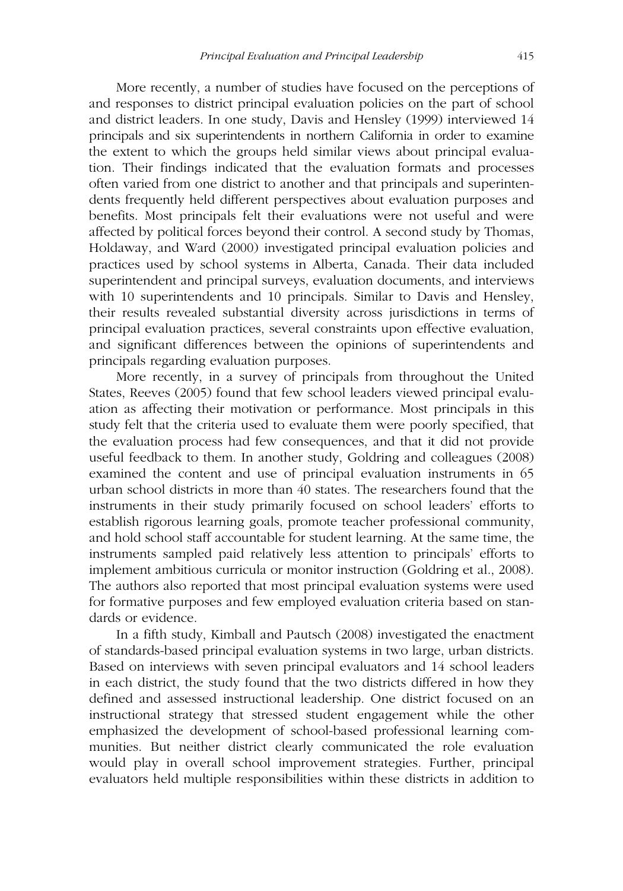More recently, a number of studies have focused on the perceptions of and responses to district principal evaluation policies on the part of school and district leaders. In one study, Davis and Hensley (1999) interviewed 14 principals and six superintendents in northern California in order to examine the extent to which the groups held similar views about principal evaluation. Their findings indicated that the evaluation formats and processes often varied from one district to another and that principals and superintendents frequently held different perspectives about evaluation purposes and benefits. Most principals felt their evaluations were not useful and were affected by political forces beyond their control. A second study by Thomas, Holdaway, and Ward (2000) investigated principal evaluation policies and practices used by school systems in Alberta, Canada. Their data included superintendent and principal surveys, evaluation documents, and interviews with 10 superintendents and 10 principals. Similar to Davis and Hensley, their results revealed substantial diversity across jurisdictions in terms of principal evaluation practices, several constraints upon effective evaluation, and significant differences between the opinions of superintendents and principals regarding evaluation purposes.

More recently, in a survey of principals from throughout the United States, Reeves (2005) found that few school leaders viewed principal evaluation as affecting their motivation or performance. Most principals in this study felt that the criteria used to evaluate them were poorly specified, that the evaluation process had few consequences, and that it did not provide useful feedback to them. In another study, Goldring and colleagues (2008) examined the content and use of principal evaluation instruments in 65 urban school districts in more than 40 states. The researchers found that the instruments in their study primarily focused on school leaders' efforts to establish rigorous learning goals, promote teacher professional community, and hold school staff accountable for student learning. At the same time, the instruments sampled paid relatively less attention to principals' efforts to implement ambitious curricula or monitor instruction (Goldring et al., 2008). The authors also reported that most principal evaluation systems were used for formative purposes and few employed evaluation criteria based on standards or evidence.

In a fifth study, Kimball and Pautsch (2008) investigated the enactment of standards-based principal evaluation systems in two large, urban districts. Based on interviews with seven principal evaluators and 14 school leaders in each district, the study found that the two districts differed in how they defined and assessed instructional leadership. One district focused on an instructional strategy that stressed student engagement while the other emphasized the development of school-based professional learning communities. But neither district clearly communicated the role evaluation would play in overall school improvement strategies. Further, principal evaluators held multiple responsibilities within these districts in addition to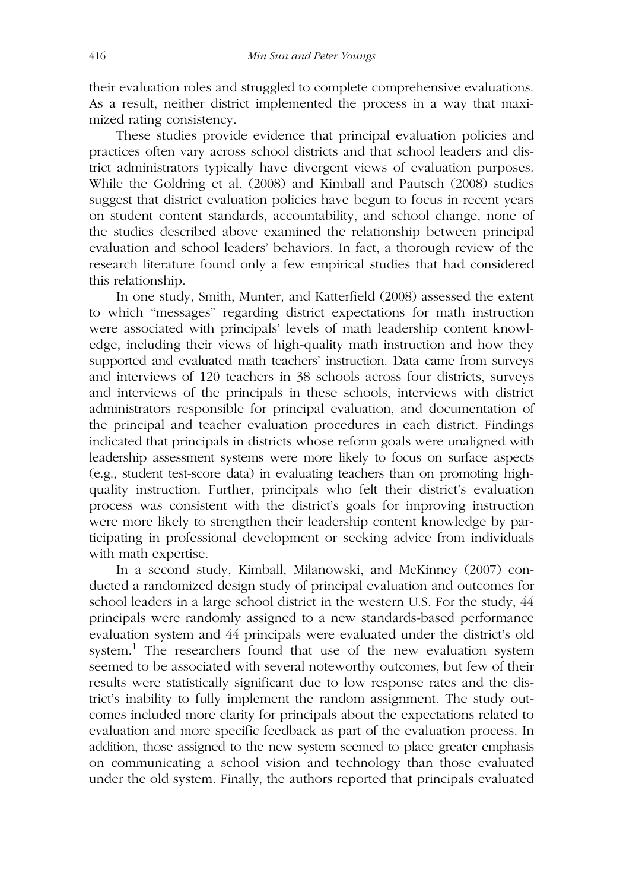their evaluation roles and struggled to complete comprehensive evaluations. As a result, neither district implemented the process in a way that maximized rating consistency.

These studies provide evidence that principal evaluation policies and practices often vary across school districts and that school leaders and district administrators typically have divergent views of evaluation purposes. While the Goldring et al. (2008) and Kimball and Pautsch (2008) studies suggest that district evaluation policies have begun to focus in recent years on student content standards, accountability, and school change, none of the studies described above examined the relationship between principal evaluation and school leaders' behaviors. In fact, a thorough review of the research literature found only a few empirical studies that had considered this relationship.

In one study, Smith, Munter, and Katterfield (2008) assessed the extent to which "messages" regarding district expectations for math instruction were associated with principals' levels of math leadership content knowledge, including their views of high-quality math instruction and how they supported and evaluated math teachers' instruction. Data came from surveys and interviews of 120 teachers in 38 schools across four districts, surveys and interviews of the principals in these schools, interviews with district administrators responsible for principal evaluation, and documentation of the principal and teacher evaluation procedures in each district. Findings indicated that principals in districts whose reform goals were unaligned with leadership assessment systems were more likely to focus on surface aspects (e.g., student test-score data) in evaluating teachers than on promoting highquality instruction. Further, principals who felt their district's evaluation process was consistent with the district's goals for improving instruction were more likely to strengthen their leadership content knowledge by participating in professional development or seeking advice from individuals with math expertise.

In a second study, Kimball, Milanowski, and McKinney (2007) conducted a randomized design study of principal evaluation and outcomes for school leaders in a large school district in the western U.S. For the study, 44 principals were randomly assigned to a new standards-based performance evaluation system and 44 principals were evaluated under the district's old system.<sup>1</sup> The researchers found that use of the new evaluation system seemed to be associated with several noteworthy outcomes, but few of their results were statistically significant due to low response rates and the district's inability to fully implement the random assignment. The study outcomes included more clarity for principals about the expectations related to evaluation and more specific feedback as part of the evaluation process. In addition, those assigned to the new system seemed to place greater emphasis on communicating a school vision and technology than those evaluated under the old system. Finally, the authors reported that principals evaluated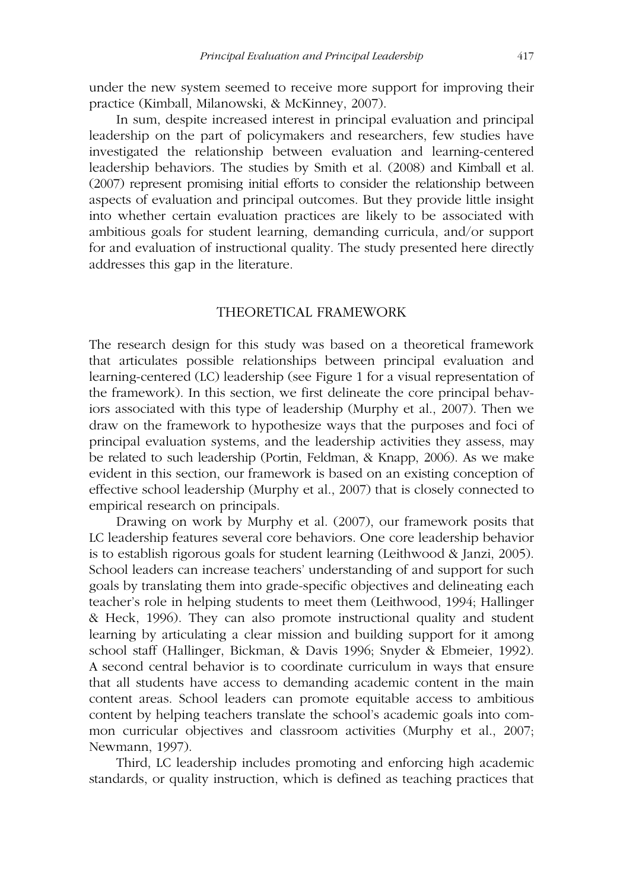under the new system seemed to receive more support for improving their practice (Kimball, Milanowski, & McKinney, 2007).

In sum, despite increased interest in principal evaluation and principal leadership on the part of policymakers and researchers, few studies have investigated the relationship between evaluation and learning-centered leadership behaviors. The studies by Smith et al. (2008) and Kimball et al. (2007) represent promising initial efforts to consider the relationship between aspects of evaluation and principal outcomes. But they provide little insight into whether certain evaluation practices are likely to be associated with ambitious goals for student learning, demanding curricula, and/or support for and evaluation of instructional quality. The study presented here directly addresses this gap in the literature.

### THEORETICAL FRAMEWORK

The research design for this study was based on a theoretical framework that articulates possible relationships between principal evaluation and learning-centered (LC) leadership (see Figure 1 for a visual representation of the framework). In this section, we first delineate the core principal behaviors associated with this type of leadership (Murphy et al., 2007). Then we draw on the framework to hypothesize ways that the purposes and foci of principal evaluation systems, and the leadership activities they assess, may be related to such leadership (Portin, Feldman, & Knapp, 2006). As we make evident in this section, our framework is based on an existing conception of effective school leadership (Murphy et al., 2007) that is closely connected to empirical research on principals.

Drawing on work by Murphy et al. (2007), our framework posits that LC leadership features several core behaviors. One core leadership behavior is to establish rigorous goals for student learning (Leithwood & Janzi, 2005). School leaders can increase teachers' understanding of and support for such goals by translating them into grade-specific objectives and delineating each teacher's role in helping students to meet them (Leithwood, 1994; Hallinger & Heck, 1996). They can also promote instructional quality and student learning by articulating a clear mission and building support for it among school staff (Hallinger, Bickman, & Davis 1996; Snyder & Ebmeier, 1992). A second central behavior is to coordinate curriculum in ways that ensure that all students have access to demanding academic content in the main content areas. School leaders can promote equitable access to ambitious content by helping teachers translate the school's academic goals into common curricular objectives and classroom activities (Murphy et al., 2007; Newmann, 1997).

Third, LC leadership includes promoting and enforcing high academic standards, or quality instruction, which is defined as teaching practices that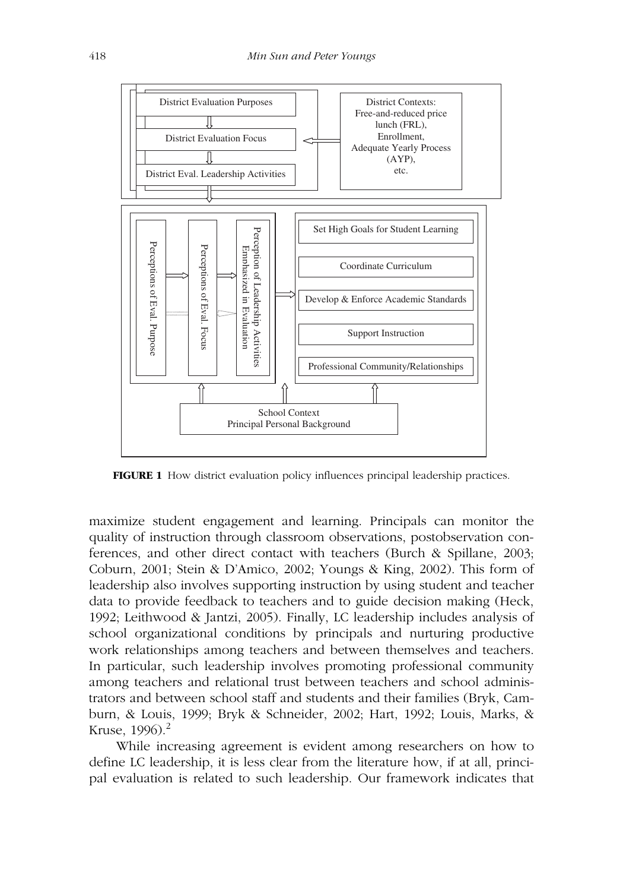

**FIGURE 1** How district evaluation policy influences principal leadership practices.

maximize student engagement and learning. Principals can monitor the quality of instruction through classroom observations, postobservation conferences, and other direct contact with teachers (Burch & Spillane, 2003; Coburn, 2001; Stein & D'Amico, 2002; Youngs & King, 2002). This form of leadership also involves supporting instruction by using student and teacher data to provide feedback to teachers and to guide decision making (Heck, 1992; Leithwood & Jantzi, 2005). Finally, LC leadership includes analysis of school organizational conditions by principals and nurturing productive work relationships among teachers and between themselves and teachers. In particular, such leadership involves promoting professional community among teachers and relational trust between teachers and school administrators and between school staff and students and their families (Bryk, Camburn, & Louis, 1999; Bryk & Schneider, 2002; Hart, 1992; Louis, Marks, & Kruse,  $1996$ .<sup>2</sup>

While increasing agreement is evident among researchers on how to define LC leadership, it is less clear from the literature how, if at all, principal evaluation is related to such leadership. Our framework indicates that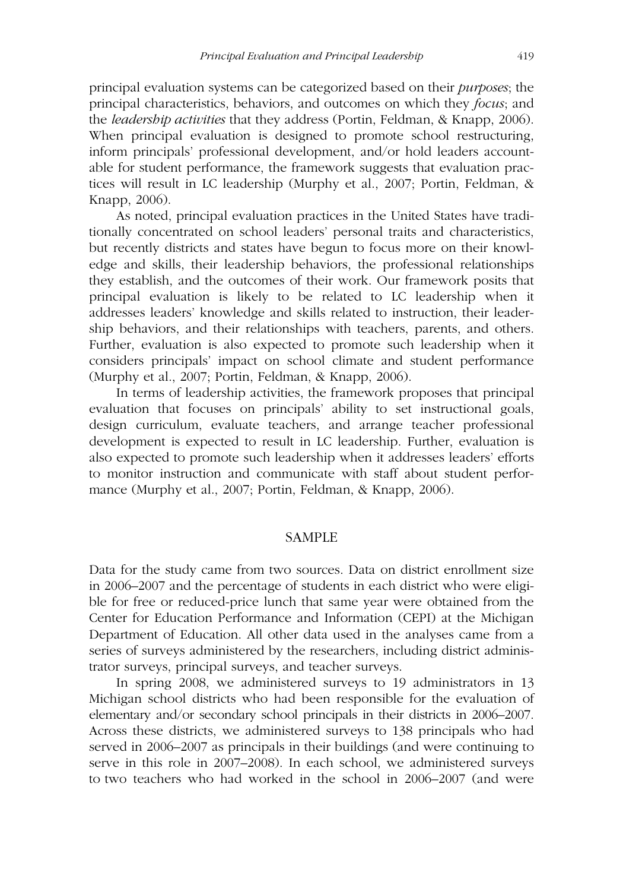principal evaluation systems can be categorized based on their *purposes*; the principal characteristics, behaviors, and outcomes on which they *focus*; and the *leadership activities* that they address (Portin, Feldman, & Knapp, 2006). When principal evaluation is designed to promote school restructuring, inform principals' professional development, and/or hold leaders accountable for student performance, the framework suggests that evaluation practices will result in LC leadership (Murphy et al., 2007; Portin, Feldman, & Knapp, 2006).

As noted, principal evaluation practices in the United States have traditionally concentrated on school leaders' personal traits and characteristics, but recently districts and states have begun to focus more on their knowledge and skills, their leadership behaviors, the professional relationships they establish, and the outcomes of their work. Our framework posits that principal evaluation is likely to be related to LC leadership when it addresses leaders' knowledge and skills related to instruction, their leadership behaviors, and their relationships with teachers, parents, and others. Further, evaluation is also expected to promote such leadership when it considers principals' impact on school climate and student performance (Murphy et al., 2007; Portin, Feldman, & Knapp, 2006).

In terms of leadership activities, the framework proposes that principal evaluation that focuses on principals' ability to set instructional goals, design curriculum, evaluate teachers, and arrange teacher professional development is expected to result in LC leadership. Further, evaluation is also expected to promote such leadership when it addresses leaders' efforts to monitor instruction and communicate with staff about student performance (Murphy et al., 2007; Portin, Feldman, & Knapp, 2006).

#### SAMPLE

Data for the study came from two sources. Data on district enrollment size in 2006–2007 and the percentage of students in each district who were eligible for free or reduced-price lunch that same year were obtained from the Center for Education Performance and Information (CEPI) at the Michigan Department of Education. All other data used in the analyses came from a series of surveys administered by the researchers, including district administrator surveys, principal surveys, and teacher surveys.

In spring 2008, we administered surveys to 19 administrators in 13 Michigan school districts who had been responsible for the evaluation of elementary and/or secondary school principals in their districts in 2006–2007. Across these districts, we administered surveys to 138 principals who had served in 2006–2007 as principals in their buildings (and were continuing to serve in this role in 2007–2008). In each school, we administered surveys to two teachers who had worked in the school in 2006–2007 (and were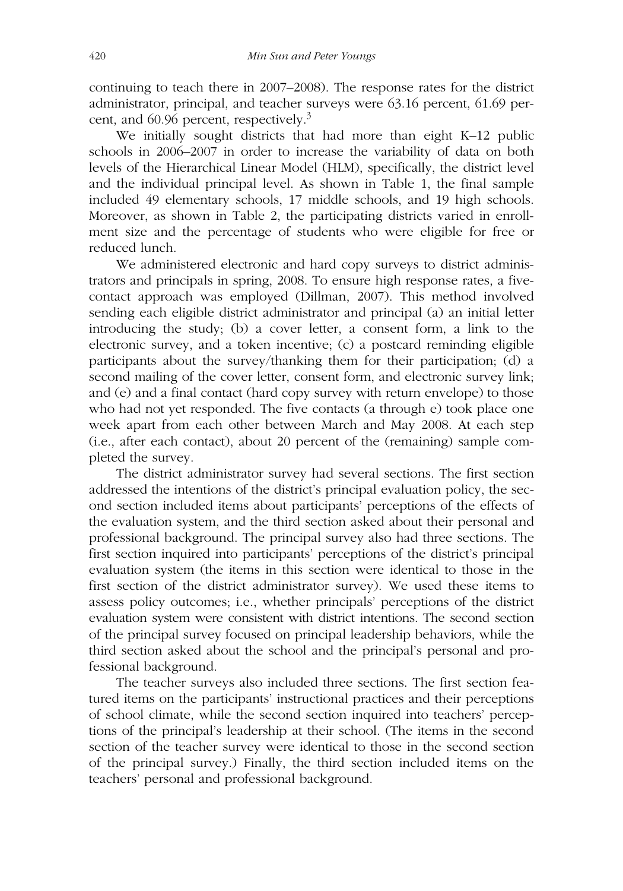continuing to teach there in 2007–2008). The response rates for the district administrator, principal, and teacher surveys were 63.16 percent, 61.69 percent, and 60.96 percent, respectively.<sup>3</sup>

We initially sought districts that had more than eight K–12 public schools in 2006–2007 in order to increase the variability of data on both levels of the Hierarchical Linear Model (HLM), specifically, the district level and the individual principal level. As shown in Table 1, the final sample included 49 elementary schools, 17 middle schools, and 19 high schools. Moreover, as shown in Table 2, the participating districts varied in enrollment size and the percentage of students who were eligible for free or reduced lunch.

We administered electronic and hard copy surveys to district administrators and principals in spring, 2008. To ensure high response rates, a fivecontact approach was employed (Dillman, 2007). This method involved sending each eligible district administrator and principal (a) an initial letter introducing the study; (b) a cover letter, a consent form, a link to the electronic survey, and a token incentive; (c) a postcard reminding eligible participants about the survey/thanking them for their participation; (d) a second mailing of the cover letter, consent form, and electronic survey link; and (e) and a final contact (hard copy survey with return envelope) to those who had not yet responded. The five contacts (a through e) took place one week apart from each other between March and May 2008. At each step (i.e., after each contact), about 20 percent of the (remaining) sample completed the survey.

The district administrator survey had several sections. The first section addressed the intentions of the district's principal evaluation policy, the second section included items about participants' perceptions of the effects of the evaluation system, and the third section asked about their personal and professional background. The principal survey also had three sections. The first section inquired into participants' perceptions of the district's principal evaluation system (the items in this section were identical to those in the first section of the district administrator survey). We used these items to assess policy outcomes; i.e., whether principals' perceptions of the district evaluation system were consistent with district intentions. The second section of the principal survey focused on principal leadership behaviors, while the third section asked about the school and the principal's personal and professional background.

The teacher surveys also included three sections. The first section featured items on the participants' instructional practices and their perceptions of school climate, while the second section inquired into teachers' perceptions of the principal's leadership at their school. (The items in the second section of the teacher survey were identical to those in the second section of the principal survey.) Finally, the third section included items on the teachers' personal and professional background.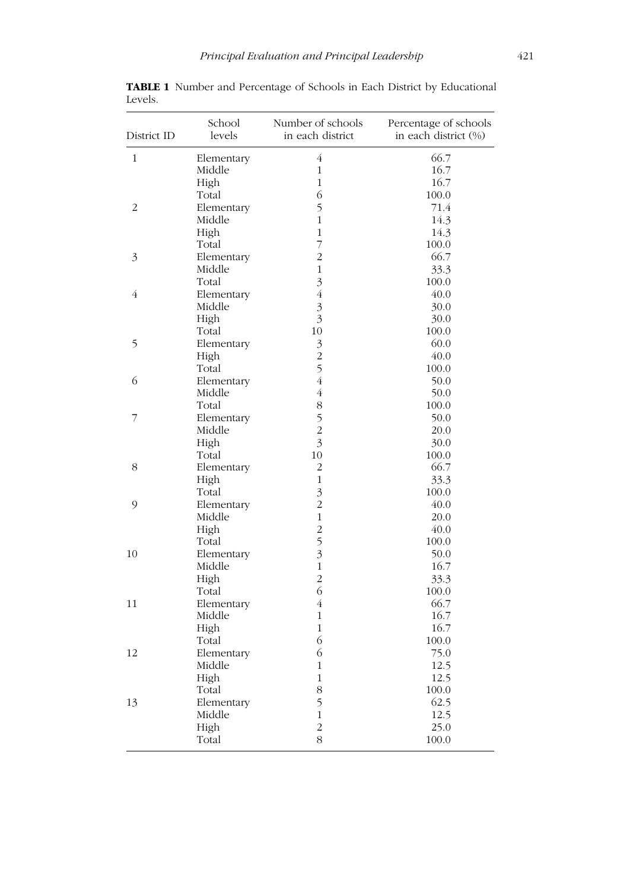| District ID    | School<br>levels | Number of schools<br>in each district | Percentage of schools<br>in each district (%) |
|----------------|------------------|---------------------------------------|-----------------------------------------------|
| $\mathbf{1}$   | Elementary       | 4                                     | 66.7                                          |
|                | Middle           | $\mathbf{1}$                          | 16.7                                          |
|                | High             | $\mathbf{1}$                          | 16.7                                          |
|                | Total            | 6                                     | 100.0                                         |
| $\overline{2}$ | Elementary       | 5                                     | 71.4                                          |
|                | Middle           | $\mathbf{1}$                          | 14.3                                          |
|                | High             | $\mathbf{1}$                          | 14.3                                          |
|                | Total            | $\overline{7}$                        | 100.0                                         |
| 3              | Elementary       | $\overline{c}$                        | 66.7                                          |
|                | Middle           | $\mathbf{1}$                          | 33.3                                          |
|                | Total            | $\mathfrak{Z}$                        | 100.0                                         |
| 4              | Elementary       | $\overline{4}$                        | 40.0                                          |
|                | Middle           | $\overline{\mathbf{3}}$               | 30.0                                          |
|                | High             | $\overline{\mathbf{3}}$               | 30.0                                          |
|                | Total            | 10                                    | 100.0                                         |
| 5              | Elementary       | 3                                     | 60.0                                          |
|                | High             | $\overline{c}$                        | 40.0                                          |
|                | Total            | 5                                     | 100.0                                         |
| 6              | Elementary       | $\overline{4}$                        | 50.0                                          |
|                | Middle           | $\overline{4}$                        | 50.0                                          |
|                | Total            | 8                                     | 100.0                                         |
| 7              | Elementary       | 5                                     | 50.0                                          |
|                | Middle           | $\overline{c}$                        | 20.0                                          |
|                | High             | $\overline{\mathbf{3}}$               | 30.0                                          |
|                | Total            | 10                                    | 100.0                                         |
| 8              | Elementary       | $\overline{c}$                        | 66.7                                          |
|                | High             | $\mathbf{1}$                          | 33.3                                          |
|                | Total            | $\overline{\mathbf{3}}$               | 100.0                                         |
| 9              | Elementary       | $\overline{c}$                        | 40.0                                          |
|                | Middle           | $\mathbf{1}$                          | 20.0                                          |
|                | High             | $\overline{c}$                        | 40.0                                          |
|                | Total            | 5                                     | 100.0                                         |
| 10             | Elementary       | $\overline{\mathbf{3}}$               | 50.0                                          |
|                | Middle           | $\mathbf{1}$                          | 16.7                                          |
|                | High             | $\overline{c}$                        | 33.3                                          |
|                | Total            | 6                                     | 100.0                                         |
| 11             | Elementary       | 4                                     | 66.7                                          |
|                | Middle           | $\mathbf{1}$                          | 16.7                                          |
|                | High             | $\mathbf{1}$                          | 16.7                                          |
|                | Total            | 6                                     | 100.0                                         |
| 12             | Elementary       | 6                                     | 75.0                                          |
|                | Middle           | $\mathbf{1}$                          | 12.5                                          |
|                | High             | $\mathbf{1}$                          | 12.5                                          |
|                | Total            | 8                                     | 100.0                                         |
| 13             | Elementary       | 5                                     | 62.5                                          |
|                | Middle           | $\mathbf{1}$                          | 12.5                                          |
|                | High             | $\overline{c}$                        | 25.0                                          |
|                | Total            | 8                                     | 100.0                                         |

**TABLE 1** Number and Percentage of Schools in Each District by Educational Levels.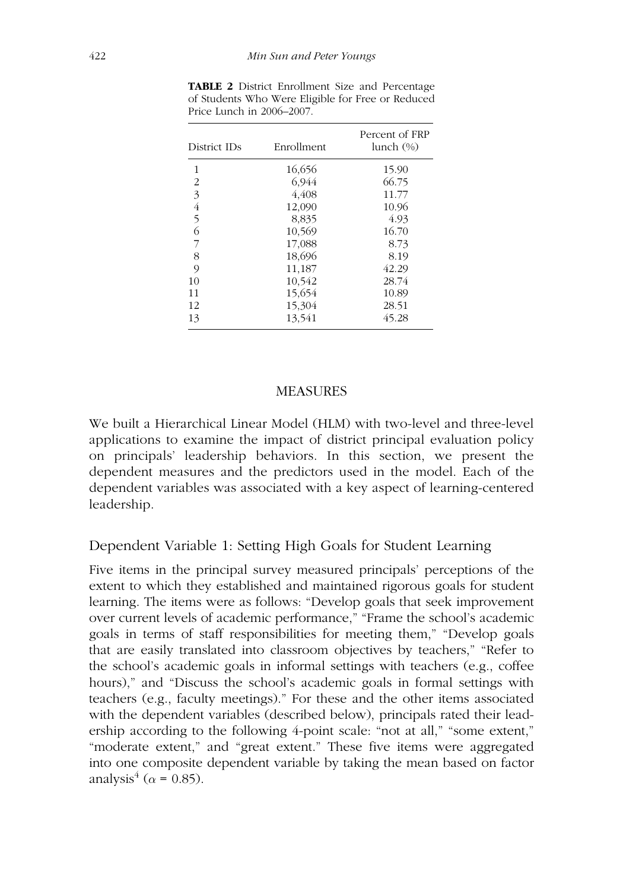| District IDs   | Enrollment | Percent of FRP<br>lunch $(\%)$ |
|----------------|------------|--------------------------------|
| 1              | 16,656     | 15.90                          |
| 2              | 6.944      | 66.75                          |
| $\mathfrak{Z}$ | 4,408      | 11.77                          |
| $\overline{4}$ | 12,090     | 10.96                          |
| 5              | 8.835      | 4.93                           |
| 6              | 10,569     | 16.70                          |
| 7              | 17,088     | 8.73                           |
| 8              | 18,696     | 8.19                           |
| 9              | 11,187     | 42.29                          |
| 10             | 10,542     | 28.74                          |
| 11             | 15,654     | 10.89                          |
| 12             | 15,304     | 28.51                          |
| 13             | 13,541     | 45.28                          |

**TABLE 2** District Enrollment Size and Percentage of Students Who Were Eligible for Free or Reduced Price Lunch in 2006–2007.

#### **MEASURES**

We built a Hierarchical Linear Model (HLM) with two-level and three-level applications to examine the impact of district principal evaluation policy on principals' leadership behaviors. In this section, we present the dependent measures and the predictors used in the model. Each of the dependent variables was associated with a key aspect of learning-centered leadership.

### Dependent Variable 1: Setting High Goals for Student Learning

Five items in the principal survey measured principals' perceptions of the extent to which they established and maintained rigorous goals for student learning. The items were as follows: "Develop goals that seek improvement over current levels of academic performance," "Frame the school's academic goals in terms of staff responsibilities for meeting them," "Develop goals that are easily translated into classroom objectives by teachers," "Refer to the school's academic goals in informal settings with teachers (e.g., coffee hours)," and "Discuss the school's academic goals in formal settings with teachers (e.g., faculty meetings)." For these and the other items associated with the dependent variables (described below), principals rated their leadership according to the following 4-point scale: "not at all," "some extent," "moderate extent," and "great extent." These five items were aggregated into one composite dependent variable by taking the mean based on factor analysis<sup>4</sup> ( $\alpha$  = 0.85).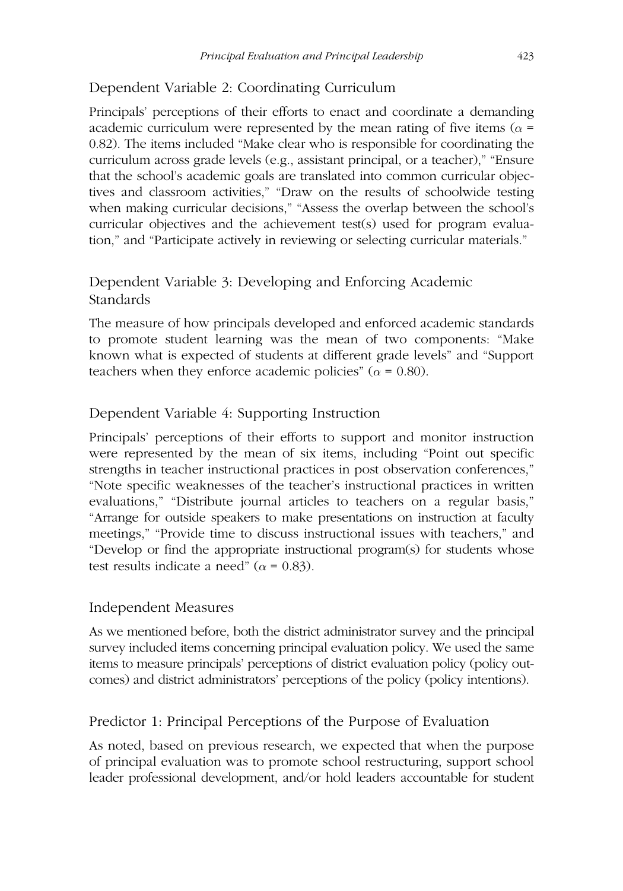# Dependent Variable 2: Coordinating Curriculum

Principals' perceptions of their efforts to enact and coordinate a demanding academic curriculum were represented by the mean rating of five items ( $\alpha$  = 0.82). The items included "Make clear who is responsible for coordinating the curriculum across grade levels (e.g., assistant principal, or a teacher)," "Ensure that the school's academic goals are translated into common curricular objectives and classroom activities," "Draw on the results of schoolwide testing when making curricular decisions," "Assess the overlap between the school's curricular objectives and the achievement test(s) used for program evaluation," and "Participate actively in reviewing or selecting curricular materials."

# Dependent Variable 3: Developing and Enforcing Academic Standards

The measure of how principals developed and enforced academic standards to promote student learning was the mean of two components: "Make known what is expected of students at different grade levels" and "Support teachers when they enforce academic policies" ( $\alpha$  = 0.80).

# Dependent Variable 4: Supporting Instruction

Principals' perceptions of their efforts to support and monitor instruction were represented by the mean of six items, including "Point out specific strengths in teacher instructional practices in post observation conferences," "Note specific weaknesses of the teacher's instructional practices in written evaluations," "Distribute journal articles to teachers on a regular basis," "Arrange for outside speakers to make presentations on instruction at faculty meetings," "Provide time to discuss instructional issues with teachers," and "Develop or find the appropriate instructional program(s) for students whose test results indicate a need" ( $\alpha$  = 0.83).

# Independent Measures

As we mentioned before, both the district administrator survey and the principal survey included items concerning principal evaluation policy. We used the same items to measure principals' perceptions of district evaluation policy (policy outcomes) and district administrators' perceptions of the policy (policy intentions).

# Predictor 1: Principal Perceptions of the Purpose of Evaluation

As noted, based on previous research, we expected that when the purpose of principal evaluation was to promote school restructuring, support school leader professional development, and/or hold leaders accountable for student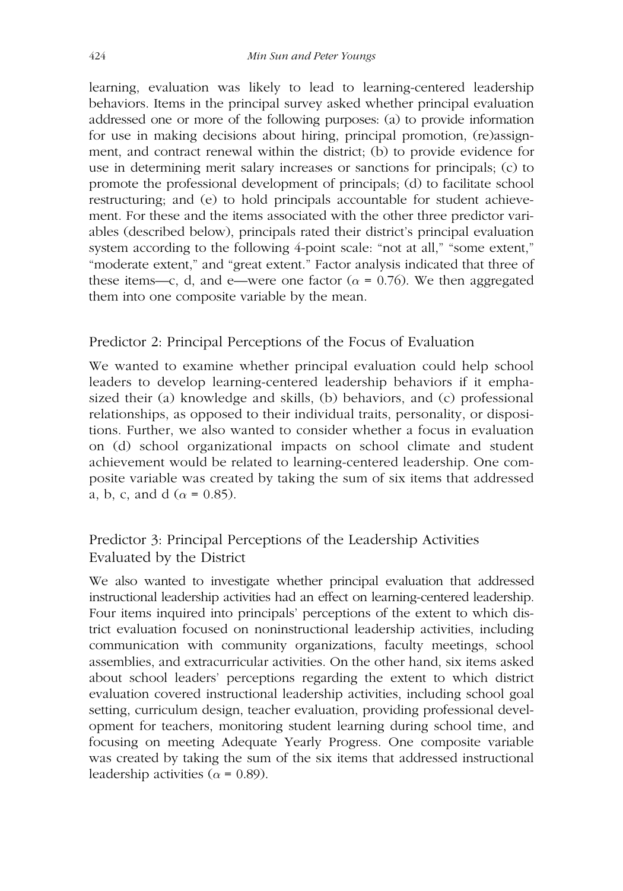learning, evaluation was likely to lead to learning-centered leadership behaviors. Items in the principal survey asked whether principal evaluation addressed one or more of the following purposes: (a) to provide information for use in making decisions about hiring, principal promotion, (re)assignment, and contract renewal within the district; (b) to provide evidence for use in determining merit salary increases or sanctions for principals; (c) to promote the professional development of principals; (d) to facilitate school restructuring; and (e) to hold principals accountable for student achievement. For these and the items associated with the other three predictor variables (described below), principals rated their district's principal evaluation system according to the following 4-point scale: "not at all," "some extent," "moderate extent," and "great extent." Factor analysis indicated that three of these items—c, d, and e—were one factor ( $\alpha$  = 0.76). We then aggregated them into one composite variable by the mean.

### Predictor 2: Principal Perceptions of the Focus of Evaluation

We wanted to examine whether principal evaluation could help school leaders to develop learning-centered leadership behaviors if it emphasized their (a) knowledge and skills, (b) behaviors, and (c) professional relationships, as opposed to their individual traits, personality, or dispositions. Further, we also wanted to consider whether a focus in evaluation on (d) school organizational impacts on school climate and student achievement would be related to learning-centered leadership. One composite variable was created by taking the sum of six items that addressed a, b, c, and d ( $\alpha$  = 0.85).

# Predictor 3: Principal Perceptions of the Leadership Activities Evaluated by the District

We also wanted to investigate whether principal evaluation that addressed instructional leadership activities had an effect on learning-centered leadership. Four items inquired into principals' perceptions of the extent to which district evaluation focused on noninstructional leadership activities, including communication with community organizations, faculty meetings, school assemblies, and extracurricular activities. On the other hand, six items asked about school leaders' perceptions regarding the extent to which district evaluation covered instructional leadership activities, including school goal setting, curriculum design, teacher evaluation, providing professional development for teachers, monitoring student learning during school time, and focusing on meeting Adequate Yearly Progress. One composite variable was created by taking the sum of the six items that addressed instructional leadership activities ( $\alpha$  = 0.89).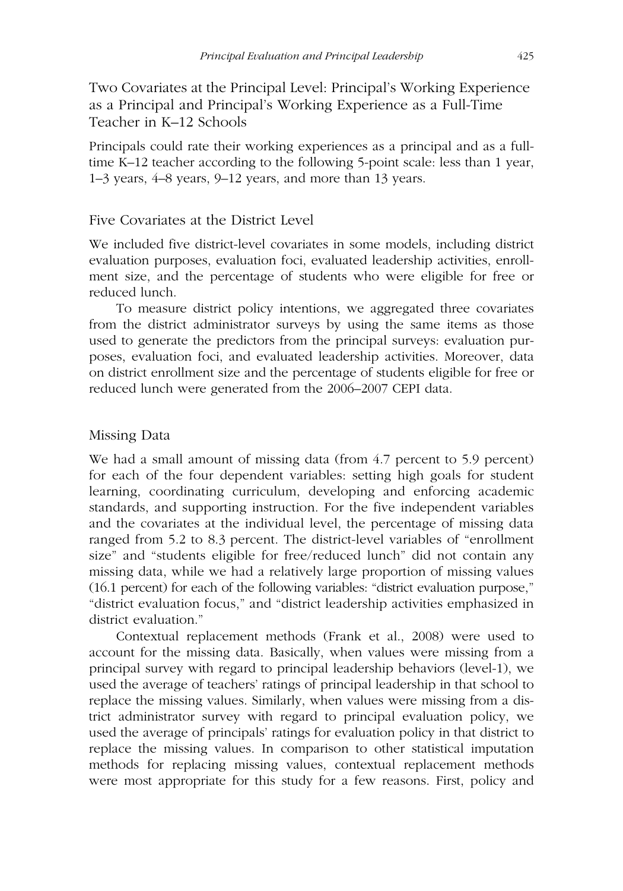Two Covariates at the Principal Level: Principal's Working Experience as a Principal and Principal's Working Experience as a Full-Time Teacher in K–12 Schools

Principals could rate their working experiences as a principal and as a fulltime K–12 teacher according to the following 5-point scale: less than 1 year, 1–3 years, 4–8 years, 9–12 years, and more than 13 years.

### Five Covariates at the District Level

We included five district-level covariates in some models, including district evaluation purposes, evaluation foci, evaluated leadership activities, enrollment size, and the percentage of students who were eligible for free or reduced lunch.

To measure district policy intentions, we aggregated three covariates from the district administrator surveys by using the same items as those used to generate the predictors from the principal surveys: evaluation purposes, evaluation foci, and evaluated leadership activities. Moreover, data on district enrollment size and the percentage of students eligible for free or reduced lunch were generated from the 2006–2007 CEPI data.

### Missing Data

We had a small amount of missing data (from 4.7 percent to 5.9 percent) for each of the four dependent variables: setting high goals for student learning, coordinating curriculum, developing and enforcing academic standards, and supporting instruction. For the five independent variables and the covariates at the individual level, the percentage of missing data ranged from 5.2 to 8.3 percent. The district-level variables of "enrollment size" and "students eligible for free/reduced lunch" did not contain any missing data, while we had a relatively large proportion of missing values (16.1 percent) for each of the following variables: "district evaluation purpose," "district evaluation focus," and "district leadership activities emphasized in district evaluation."

Contextual replacement methods (Frank et al., 2008) were used to account for the missing data. Basically, when values were missing from a principal survey with regard to principal leadership behaviors (level-1), we used the average of teachers' ratings of principal leadership in that school to replace the missing values. Similarly, when values were missing from a district administrator survey with regard to principal evaluation policy, we used the average of principals' ratings for evaluation policy in that district to replace the missing values. In comparison to other statistical imputation methods for replacing missing values, contextual replacement methods were most appropriate for this study for a few reasons. First, policy and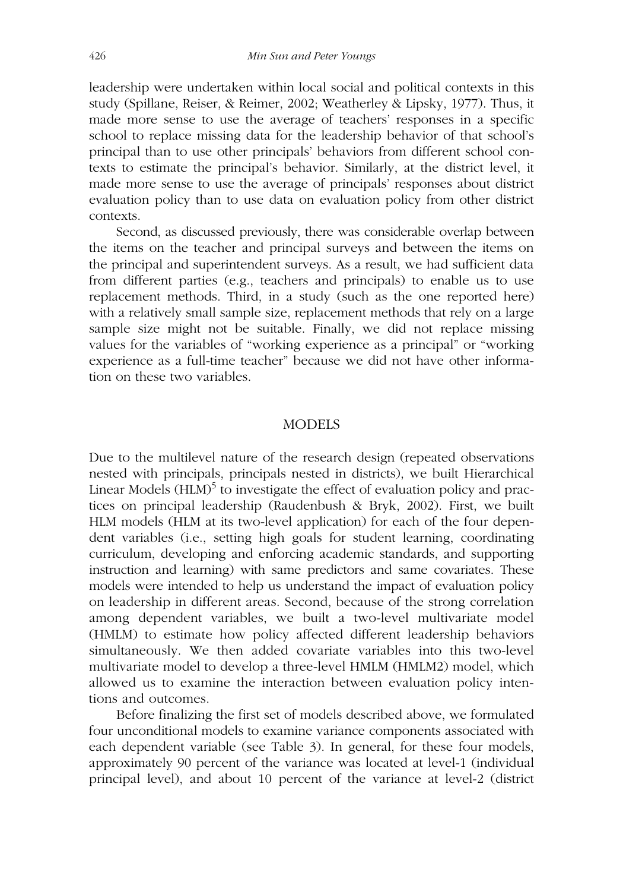leadership were undertaken within local social and political contexts in this study (Spillane, Reiser, & Reimer, 2002; Weatherley & Lipsky, 1977). Thus, it made more sense to use the average of teachers' responses in a specific school to replace missing data for the leadership behavior of that school's principal than to use other principals' behaviors from different school contexts to estimate the principal's behavior. Similarly, at the district level, it made more sense to use the average of principals' responses about district evaluation policy than to use data on evaluation policy from other district contexts.

Second, as discussed previously, there was considerable overlap between the items on the teacher and principal surveys and between the items on the principal and superintendent surveys. As a result, we had sufficient data from different parties (e.g., teachers and principals) to enable us to use replacement methods. Third, in a study (such as the one reported here) with a relatively small sample size, replacement methods that rely on a large sample size might not be suitable. Finally, we did not replace missing values for the variables of "working experience as a principal" or "working experience as a full-time teacher" because we did not have other information on these two variables.

#### MODELS

Due to the multilevel nature of the research design (repeated observations nested with principals, principals nested in districts), we built Hierarchical Linear Models  $(HLM)^5$  to investigate the effect of evaluation policy and practices on principal leadership (Raudenbush & Bryk, 2002). First, we built HLM models (HLM at its two-level application) for each of the four dependent variables (i.e., setting high goals for student learning, coordinating curriculum, developing and enforcing academic standards, and supporting instruction and learning) with same predictors and same covariates. These models were intended to help us understand the impact of evaluation policy on leadership in different areas. Second, because of the strong correlation among dependent variables, we built a two-level multivariate model (HMLM) to estimate how policy affected different leadership behaviors simultaneously. We then added covariate variables into this two-level multivariate model to develop a three-level HMLM (HMLM2) model, which allowed us to examine the interaction between evaluation policy intentions and outcomes.

Before finalizing the first set of models described above, we formulated four unconditional models to examine variance components associated with each dependent variable (see Table 3). In general, for these four models, approximately 90 percent of the variance was located at level-1 (individual principal level), and about 10 percent of the variance at level-2 (district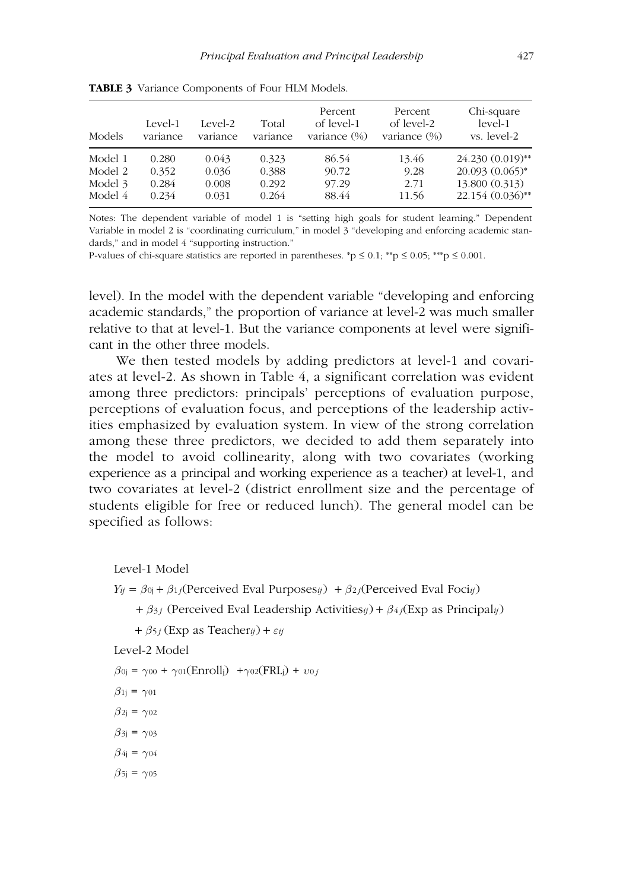| Models  | Level-1<br>variance | Level-2<br>variance | Total<br>variance | Percent<br>of level-1<br>variance $(\%)$ | Percent<br>of level-2<br>variance $(\%)$ | Chi-square<br>level-1<br>vs. level-2 |
|---------|---------------------|---------------------|-------------------|------------------------------------------|------------------------------------------|--------------------------------------|
| Model 1 | 0.280               | 0.043               | 0.323             | 86.54                                    | 13.46                                    | 24.230 (0.019)**                     |
| Model 2 | 0.352               | 0.036               | 0.388             | 90.72                                    | 9.28                                     | $20.093(0.065)^*$                    |
| Model 3 | 0.284               | 0.008               | 0.292             | 97.29                                    | 2.71                                     | 13.800 (0.313)                       |
| Model 4 | 0.234               | 0.031               | 0.264             | 88.44                                    | 11.56                                    | 22.154 (0.036)**                     |

**TABLE 3** Variance Components of Four HLM Models.

Notes: The dependent variable of model 1 is "setting high goals for student learning." Dependent Variable in model 2 is "coordinating curriculum," in model 3 "developing and enforcing academic standards," and in model 4 "supporting instruction."

P-values of chi-square statistics are reported in parentheses. \*p  $\leq 0.1$ ; \*\*p  $\leq 0.05$ ; \*\*\*p  $\leq 0.001$ .

level). In the model with the dependent variable "developing and enforcing academic standards," the proportion of variance at level-2 was much smaller relative to that at level-1. But the variance components at level were significant in the other three models.

We then tested models by adding predictors at level-1 and covariates at level-2. As shown in Table 4, a significant correlation was evident among three predictors: principals' perceptions of evaluation purpose, perceptions of evaluation focus, and perceptions of the leadership activities emphasized by evaluation system. In view of the strong correlation among these three predictors, we decided to add them separately into the model to avoid collinearity, along with two covariates (working experience as a principal and working experience as a teacher) at level-1, and two covariates at level-2 (district enrollment size and the percentage of students eligible for free or reduced lunch). The general model can be specified as follows:

Level-1 Model

 $Y_{ij} = \beta_{0j} + \beta_{1j}$  (Perceived Eval Purposes<sub>*ij*</sub>) +  $\beta_{2j}$  (Perceived Eval Foci<sub>*ij*</sub>)

+  $\beta_{3j}$  (Perceived Eval Leadership Activities<sub>*ij*</sub>) +  $\beta_{4j}$ (Exp as Principal<sub>*ij*</sub>)</sub>

 $+ \beta_{5j}$  (Exp as Teacher<sub>ij</sub>) +  $\varepsilon_{ij}$ 

Level-2 Model

 $\beta_{0j} = \gamma_{00} + \gamma_{01}(\text{Enroll}_j) + \gamma_{02}(\text{FRL}_j) + \upsilon_{0j}$ 

- $\beta_{1j} = \gamma_{01}$
- $\beta_{2j} = \gamma_{02}$
- $\beta_{3j} = \gamma_{03}$

 $\beta_{4j} = \gamma_{04}$ 

 $\beta_{5j} = \gamma_{05}$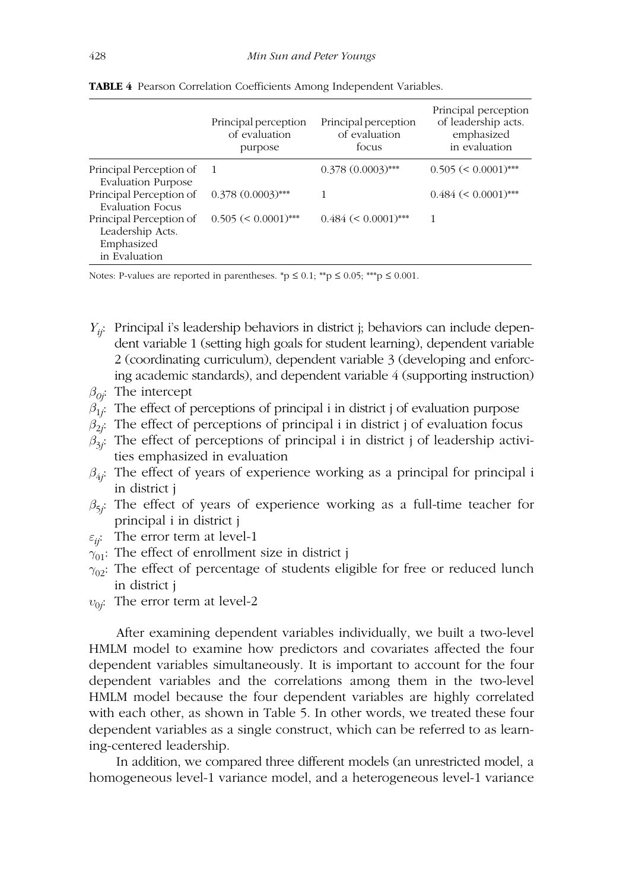|                                                                            | Principal perception<br>of evaluation<br>purpose | Principal perception<br>of evaluation<br>focus | Principal perception<br>of leadership acts.<br>emphasized<br>in evaluation |
|----------------------------------------------------------------------------|--------------------------------------------------|------------------------------------------------|----------------------------------------------------------------------------|
| Principal Perception of<br><b>Evaluation Purpose</b>                       | 1                                                | $0.378(0.0003)$ ***                            | $0.505 \leq 0.0001$ <sup>***</sup>                                         |
| Principal Perception of<br>Evaluation Focus                                | $0.378(0.0003)$ ***                              |                                                | $0.484 \leq 0.0001$ <sup>***</sup>                                         |
| Principal Perception of<br>Leadership Acts.<br>Emphasized<br>in Evaluation | $0.505 \leq 0.0001$ <sup>***</sup>               | $0.484 \leq 0.0001$ <sup>***</sup>             | 1                                                                          |

**TABLE 4** Pearson Correlation Coefficients Among Independent Variables.

Notes: P-values are reported in parentheses. \*p  $\leq 0.1$ ; \*\*p  $\leq 0.05$ ; \*\*\*p  $\leq 0.001$ .

- *Yij*: Principal i's leadership behaviors in district j; behaviors can include dependent variable 1 (setting high goals for student learning), dependent variable 2 (coordinating curriculum), dependent variable 3 (developing and enforcing academic standards), and dependent variable 4 (supporting instruction)
- $\beta_{0i}$ : The intercept
- $\beta_{1j}$ : The effect of perceptions of principal i in district j of evaluation purpose
- $\beta_{2j}$ : The effect of perceptions of principal i in district j of evaluation focus
- $\beta_{3j}$ : The effect of perceptions of principal i in district j of leadership activities emphasized in evaluation
- $\beta_{4j}$ : The effect of years of experience working as a principal for principal i in district j
- $\beta_{5j}$ : The effect of years of experience working as a full-time teacher for principal i in district j
- $\varepsilon_{ij}$ : The error term at level-1
- $\gamma_{01}$ : The effect of enrollment size in district j
- $\gamma_{02}$ : The effect of percentage of students eligible for free or reduced lunch in district j
- $v_{0j}$ : The error term at level-2

After examining dependent variables individually, we built a two-level HMLM model to examine how predictors and covariates affected the four dependent variables simultaneously. It is important to account for the four dependent variables and the correlations among them in the two-level HMLM model because the four dependent variables are highly correlated with each other, as shown in Table 5. In other words, we treated these four dependent variables as a single construct, which can be referred to as learning-centered leadership.

In addition, we compared three different models (an unrestricted model, a homogeneous level-1 variance model, and a heterogeneous level-1 variance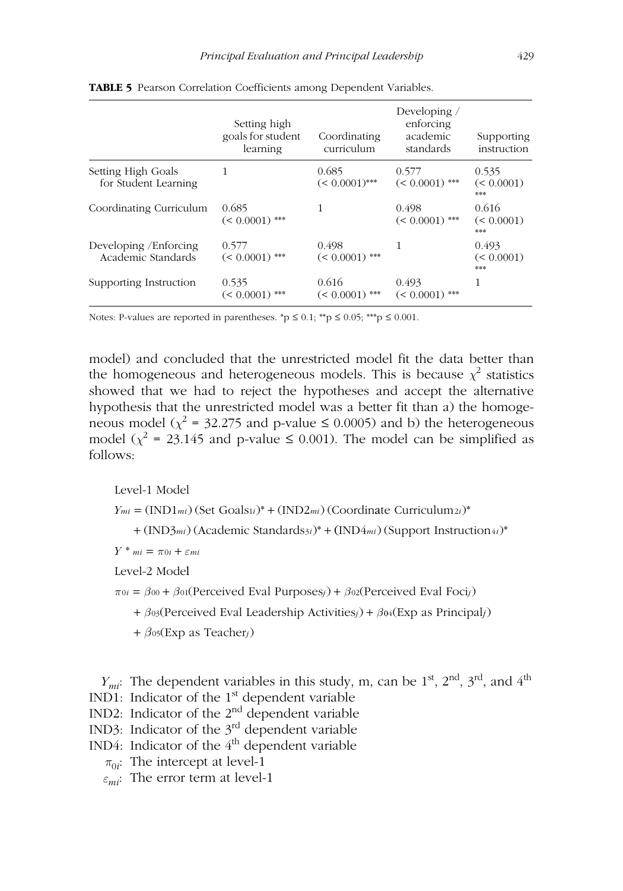|                                              | Setting high<br>goals for student<br>learning | Coordinating<br>curriculum | Developing $/$<br>enforcing<br>academic<br>standards | Supporting<br>instruction  |
|----------------------------------------------|-----------------------------------------------|----------------------------|------------------------------------------------------|----------------------------|
| Setting High Goals<br>for Student Learning   | 1                                             | 0.685<br>$(< 0.0001)$ ***  | 0.577<br>$(< 0.0001)$ ***                            | 0.535<br>(< 0.0001)<br>*** |
| Coordinating Curriculum                      | 0.685<br>$(< 0.0001)$ ***                     | 1                          | 0.498<br>$(< 0.0001)$ ***                            | 0.616<br>(< 0.0001)<br>*** |
| Developing / Enforcing<br>Academic Standards | 0.577<br>$(< 0.0001)$ ***                     | 0.498<br>$(< 0.0001)$ ***  | 1                                                    | 0.493<br>(< 0.0001)<br>*** |
| Supporting Instruction                       | 0.535<br>(< 0.0001)<br>***                    | 0.616<br>$(< 0.0001)$ ***  | 0.493<br>(< 0.0001)<br>***                           | 1                          |

TABLE 5 Pearson Correlation Coefficients among Dependent Variables.

Notes: P-values are reported in parentheses. \*p  $\leq 0.1$ ; \*\*p  $\leq 0.05$ ; \*\*\*p  $\leq 0.001$ .

model) and concluded that the unrestricted model fit the data better than the homogeneous and heterogeneous models. This is because  $\chi^2$  statistics showed that we had to reject the hypotheses and accept the alternative hypothesis that the unrestricted model was a better fit than a) the homogeneous model ( $\chi^2$  = 32.275 and p-value  $\leq$  0.0005) and b) the heterogeneous model ( $\chi^2$  = 23.145 and p-value  $\leq$  0.001). The model can be simplified as follows:

Level-1 Model

 $Y_{mi} = (IND1_{mi}) (Set \text{Goal}_{Si1})^* + (IND2_{mi}) (Coordinate \text{Current} (Umn2i))^*$ 

+ (IND3mi) (Academic Standards3i)<sup>\*</sup> + (IND4mi) (Support Instruction4i)<sup>\*</sup>

 $Y$ <sup>\*</sup> $mi = \pi$ <sub>0</sub>*i* +  $\varepsilon$ *mi* 

Level-2 Mode l

 $\pi$ <sub>0*i*</sub> =  $\beta$ <sub>00</sub> +  $\beta$ <sub>01</sub>(Perceived Eval Purposes<sub>*i*</sub>) +  $\beta$ <sub>02</sub>(Perceived Eval Foci<sub>*j*</sub>)</sub>

- +  $\beta$ <sub>03</sub>(Perceived Eval Leadership Activities<sub>*j*</sub>) +  $\beta$ <sub>04</sub>(Exp as Principal*j*)
- $+ \beta$ <sub>05</sub>(Exp as Teacher<sub>j</sub>)

 $Y_{mi}$ : The dependent variables in this study, m, can be  $1^{st}$ ,  $2^{nd}$ ,  $3^{rd}$ , and  $4^{th}$ 

- IND1: Indicator of the 1<sup>st</sup> dependent variable
- IND2: Indicator of the 2<sup>nd</sup> dependent variable
- IND3: Indicator of the  $3<sup>rd</sup>$  dependent variable
- IND4: Indicator of the  $\frac{1}{2}$ <sup>th</sup> dependent variable
	- $\pi_{0i}$ : The intercept at level-1
	- $\varepsilon_{mi}$ : The error term at level-1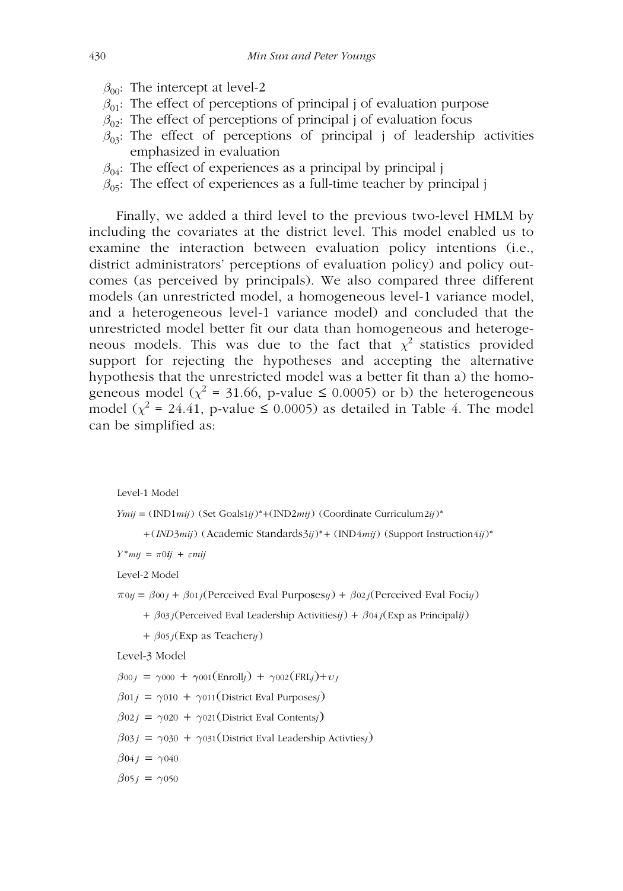- $\beta_{00}$ : The intercept at level-2
- $\beta_{01}$ : The effect of perceptions of principal j of evaluation purpose
- $\beta_{02}$ : The effect of perceptions of principal j of evaluation focus
- $\beta_{03}$ : The effect of perceptions of principal j of leadership activities emphasized in evaluation
- $\beta_{04}$ : The effect of experiences as a principal by principal j
- $\beta_{05}$ : The effect of experiences as a full-time teacher by principal j

Finally, we added a third level to the previous two-level HMLM by including the covariates at the district level. This model enabled us to examine the interaction between evaluation policy intentions (i.e., district administrators' perceptions of evaluation policy) and policy outcomes (as perceived by principals). We also compared three different models (an unrestricted model, a homogeneous level-1 variance model, and a heterogeneous level-1 variance model) and concluded that the unrestricted model better fit our data than homogeneous and heterogeneous models. This was due to the fact that  $\chi^2$  statistics provided support for rejecting the hypotheses and accepting the alternative hypothesis that the unrestricted model was a better fit than a) the homogeneous model ( $\chi^2$  = 31.66, p-value  $\leq$  0.0005) or b) the heterogeneous model ( $\chi^2$  = 24.41, p-value  $\leq$  0.0005) as detailed in Table 4. The model can be simplified as:

Level-1 Model

*Ymij* = (IND1*mij*) (Set Goals1*ij*)\*+(IND2*mij*) (Coordinate Curriculum2*ij*)\*

+ (*IND*3*mij*) (Academic Standards3*ij*)\*+ (IND4*mij*) (Support Instruction4*ij*)\*

 $Y^*$ *mij* =  $\pi 0$ *ij* +  $\varepsilon$ *mij* 

Level-2 Model

 $\pi$ <sup>0i</sup> =  $\beta$ <sup>00</sup>*j* +  $\beta$ <sup>01</sup>*j*(Perceived Eval Purposes<sub>i</sub>*j*) +  $\beta$ <sup>02</sup>*j*(Perceived Eval Foci<sub>i</sub>*j*)

+  $\beta$ 03 *j*(Perceived Eval Leadership Activities *ij*) +  $\beta$ 04 *j*(Exp as Principal *ij*)

 $+ \beta$ 05 *j*(Exp as Teacher<sub>ij</sub>)

Level-3 Model

 $\beta_{00j} = \gamma_{000} + \gamma_{001}(\text{Enroll}_j) + \gamma_{002}(\text{FRL}_j) + v_j$  $\beta_{01j} = \gamma_{010} + \gamma_{011}$ (District Eval Purposes<sub>j</sub>)  $\beta$ 02*j* =  $\gamma$ 020 +  $\gamma$ 021(District Eval Contents*j*)  $\beta_{03j} = \gamma_{030} + \gamma_{031}$ (District Eval Leadership Activties*j*)  $\beta$ **0**4*j* =  $\gamma$ 040  $\beta_{05j} = \gamma_{050}$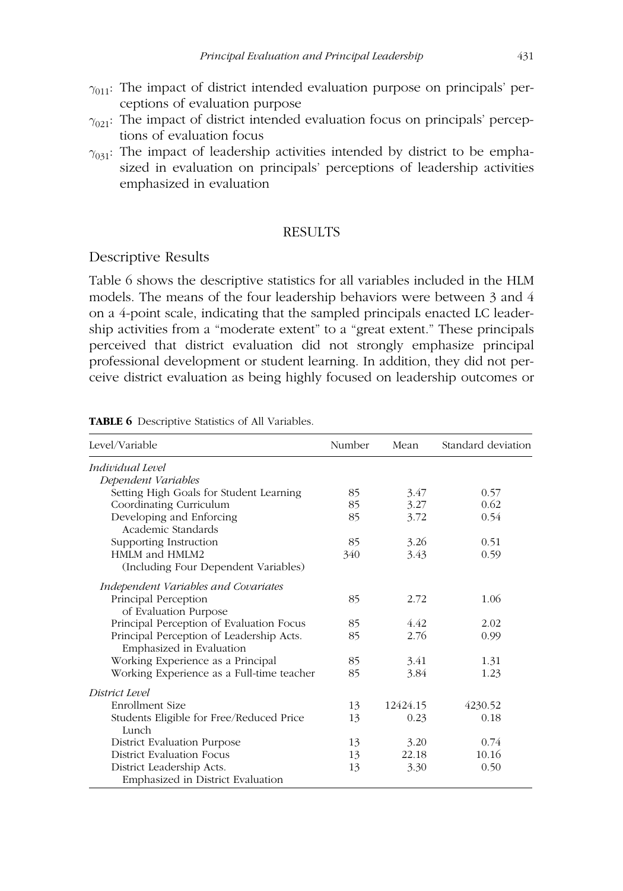- $\gamma_{011}$ : The impact of district intended evaluation purpose on principals' perceptions of evaluation purpose
- $\gamma_{021}$ : The impact of district intended evaluation focus on principals' perceptions of evaluation focus
- $\gamma_{031}$ : The impact of leadership activities intended by district to be emphasized in evaluation on principals' perceptions of leadership activities emphasized in evaluation

### RESULTS

### Descriptive Results

Table 6 shows the descriptive statistics for all variables included in the HLM models. The means of the four leadership behaviors were between 3 and 4 on a 4-point scale, indicating that the sampled principals enacted LC leadership activities from a "moderate extent" to a "great extent." These principals perceived that district evaluation did not strongly emphasize principal professional development or student learning. In addition, they did not perceive district evaluation as being highly focused on leadership outcomes or

| Level/Variable                                    | Number | Mean     | Standard deviation |
|---------------------------------------------------|--------|----------|--------------------|
| Individual Level                                  |        |          |                    |
| Dependent Variables                               |        |          |                    |
| Setting High Goals for Student Learning           | 85     | 3.47     | 0.57               |
| Coordinating Curriculum                           | 85     | 3.27     | 0.62               |
| Developing and Enforcing<br>Academic Standards    | 85     | 3.72     | 0.54               |
| Supporting Instruction                            | 85     | 3.26     | 0.51               |
| HMLM and HMLM2                                    | 340    | 3.43     | 0.59               |
| (Including Four Dependent Variables)              |        |          |                    |
| Independent Variables and Covariates              |        |          |                    |
| Principal Perception<br>of Evaluation Purpose     | 85     | 2.72     | 1.06               |
| Principal Perception of Evaluation Focus          | 85     | 4.42     | 2.02               |
| Principal Perception of Leadership Acts.          | 85     | 2.76     | 0.99               |
| Emphasized in Evaluation                          |        |          |                    |
| Working Experience as a Principal                 | 85     | 3.41     | 1.31               |
| Working Experience as a Full-time teacher         | 85     | 3.84     | 1.23               |
| District Level                                    |        |          |                    |
| Enrollment Size                                   | 13     | 12424.15 | 4230.52            |
| Students Eligible for Free/Reduced Price<br>Lunch | 13     | 0.23     | 0.18               |
| District Evaluation Purpose                       | 13     | 3.20     | 0.74               |
| <b>District Evaluation Focus</b>                  | 13     | 22.18    | 10.16              |
| District Leadership Acts.                         | 13     | 3.30     | 0.50               |
| Emphasized in District Evaluation                 |        |          |                    |

**TABLE 6** Descriptive Statistics of All Variables.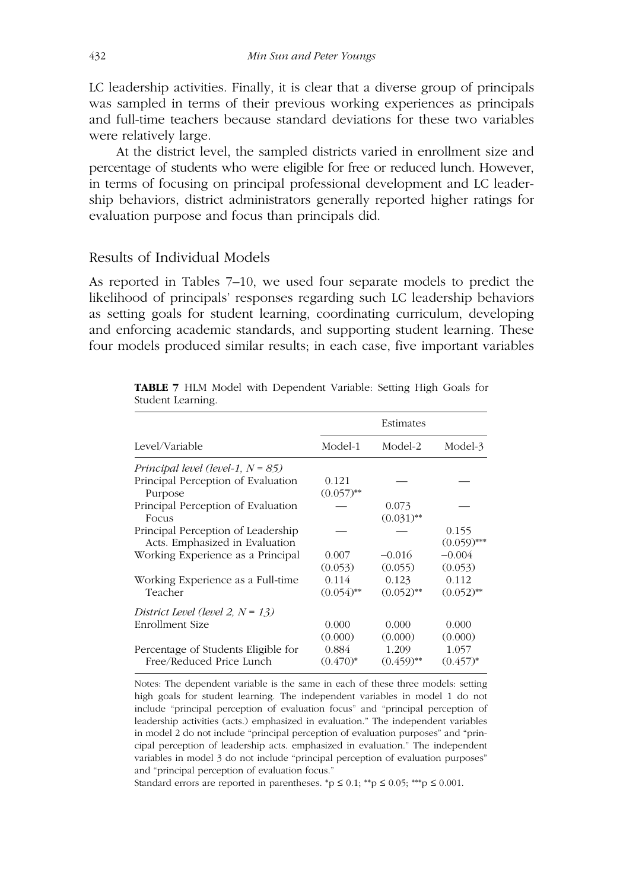LC leadership activities. Finally, it is clear that a diverse group of principals was sampled in terms of their previous working experiences as principals and full-time teachers because standard deviations for these two variables were relatively large.

At the district level, the sampled districts varied in enrollment size and percentage of students who were eligible for free or reduced lunch. However, in terms of focusing on principal professional development and LC leadership behaviors, district administrators generally reported higher ratings for evaluation purpose and focus than principals did.

### Results of Individual Models

As reported in Tables 7–10, we used four separate models to predict the likelihood of principals' responses regarding such LC leadership behaviors as setting goals for student learning, coordinating curriculum, developing and enforcing academic standards, and supporting student learning. These four models produced similar results; in each case, five important variables

|                                      |              | Estimates    |               |
|--------------------------------------|--------------|--------------|---------------|
| Level/Variable                       | Model-1      | Model-2      | Model-3       |
| Principal level (level-1, $N = 85$ ) |              |              |               |
| Principal Perception of Evaluation   | 0.121        |              |               |
| Purpose                              | $(0.057)$ ** |              |               |
| Principal Perception of Evaluation   |              | 0.073        |               |
| Focus                                |              | $(0.031)$ ** |               |
| Principal Perception of Leadership   |              |              | 0.155         |
| Acts. Emphasized in Evaluation       |              |              | $(0.059)$ *** |
| Working Experience as a Principal    | 0.007        | $-0.016$     | $-0.004$      |
|                                      | (0.053)      | (0.055)      | (0.053)       |
| Working Experience as a Full-time    | 0.114        | 0.123        | 0.112         |
| Teacher                              | $(0.054)$ ** | $(0.052)$ ** | $(0.052)$ **  |
| District Level (level 2, $N = 13$ )  |              |              |               |
| Enrollment Size                      | 0.000        | 0.000        | 0.000         |
|                                      | (0.000)      | (0.000)      | (0.000)       |
| Percentage of Students Eligible for  | 0.884        | 1.209        | 1.057         |
| Free/Reduced Price Lunch             | $(0.470)^*$  | $(0.459)$ ** | $(0.457)^*$   |

**TABLE 7** HLM Model with Dependent Variable: Setting High Goals for Student Learning.

Notes: The dependent variable is the same in each of these three models: setting high goals for student learning. The independent variables in model 1 do not include "principal perception of evaluation focus" and "principal perception of leadership activities (acts.) emphasized in evaluation." The independent variables in model 2 do not include "principal perception of evaluation purposes" and "principal perception of leadership acts. emphasized in evaluation." The independent variables in model 3 do not include "principal perception of evaluation purposes" and "principal perception of evaluation focus."

Standard errors are reported in parentheses. \*p  $\leq 0.1$ ; \*\*p  $\leq 0.05$ ; \*\*\*p  $\leq 0.001$ .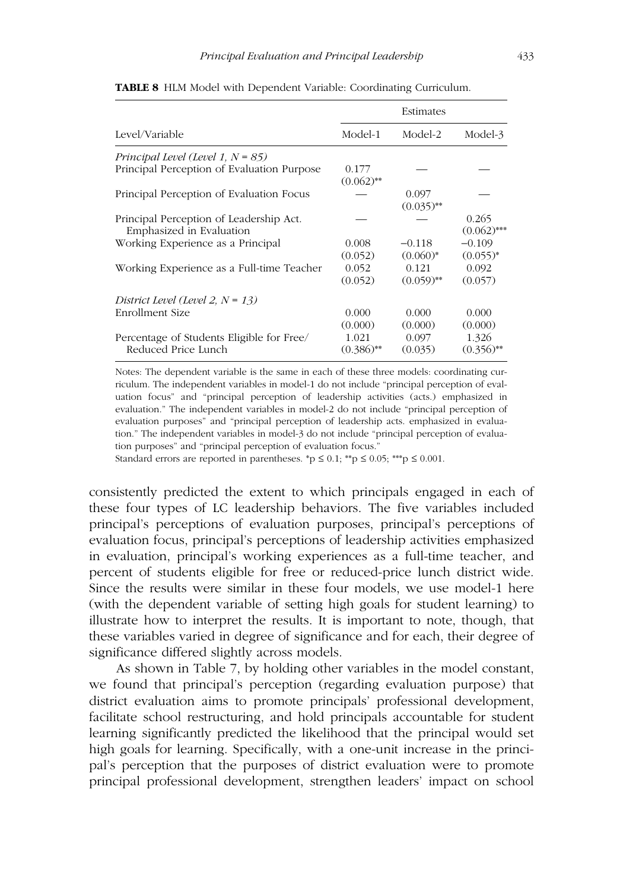|                                            |              | Estimates    |               |
|--------------------------------------------|--------------|--------------|---------------|
| Level/Variable                             | Model-1      | Model-2      | Model-3       |
| Principal Level (Level 1, $N = 85$ )       |              |              |               |
| Principal Perception of Evaluation Purpose | 0.177        |              |               |
|                                            | $(0.062)$ ** |              |               |
| Principal Perception of Evaluation Focus   |              | 0.097        |               |
|                                            |              | $(0.035)$ ** |               |
| Principal Perception of Leadership Act.    |              |              | 0.265         |
| Emphasized in Evaluation                   |              |              | $(0.062)$ *** |
| Working Experience as a Principal          | 0.008        | $-0.118$     | $-0.109$      |
|                                            | (0.052)      | $(0.060)*$   | $(0.055)^*$   |
| Working Experience as a Full-time Teacher  | 0.052        | 0.121        | 0.092         |
|                                            | (0.052)      | $(0.059)$ ** | (0.057)       |
| District Level (Level 2, $N = 13$ )        |              |              |               |
| Enrollment Size                            | 0.000        | 0.000        | 0.000         |
|                                            | (0.000)      | (0.000)      | (0.000)       |
| Percentage of Students Eligible for Free/  | 1.021        | 0.097        | 1.326         |
| Reduced Price Lunch                        | $(0.386)$ ** | (0.035)      | $(0.356)$ **  |

**TABLE 8** HLM Model with Dependent Variable: Coordinating Curriculum.

Notes: The dependent variable is the same in each of these three models: coordinating curriculum. The independent variables in model-1 do not include "principal perception of evaluation focus" and "principal perception of leadership activities (acts.) emphasized in evaluation." The independent variables in model-2 do not include "principal perception of evaluation purposes" and "principal perception of leadership acts. emphasized in evaluation." The independent variables in model-3 do not include "principal perception of evaluation purposes" and "principal perception of evaluation focus."

Standard errors are reported in parentheses. \*p  $\leq 0.1$ ; \*\*p  $\leq 0.05$ ; \*\*\*p  $\leq 0.001$ .

consistently predicted the extent to which principals engaged in each of these four types of LC leadership behaviors. The five variables included principal's perceptions of evaluation purposes, principal's perceptions of evaluation focus, principal's perceptions of leadership activities emphasized in evaluation, principal's working experiences as a full-time teacher, and percent of students eligible for free or reduced-price lunch district wide. Since the results were similar in these four models, we use model-1 here (with the dependent variable of setting high goals for student learning) to illustrate how to interpret the results. It is important to note, though, that these variables varied in degree of significance and for each, their degree of significance differed slightly across models.

As shown in Table 7, by holding other variables in the model constant, we found that principal's perception (regarding evaluation purpose) that district evaluation aims to promote principals' professional development, facilitate school restructuring, and hold principals accountable for student learning significantly predicted the likelihood that the principal would set high goals for learning. Specifically, with a one-unit increase in the principal's perception that the purposes of district evaluation were to promote principal professional development, strengthen leaders' impact on school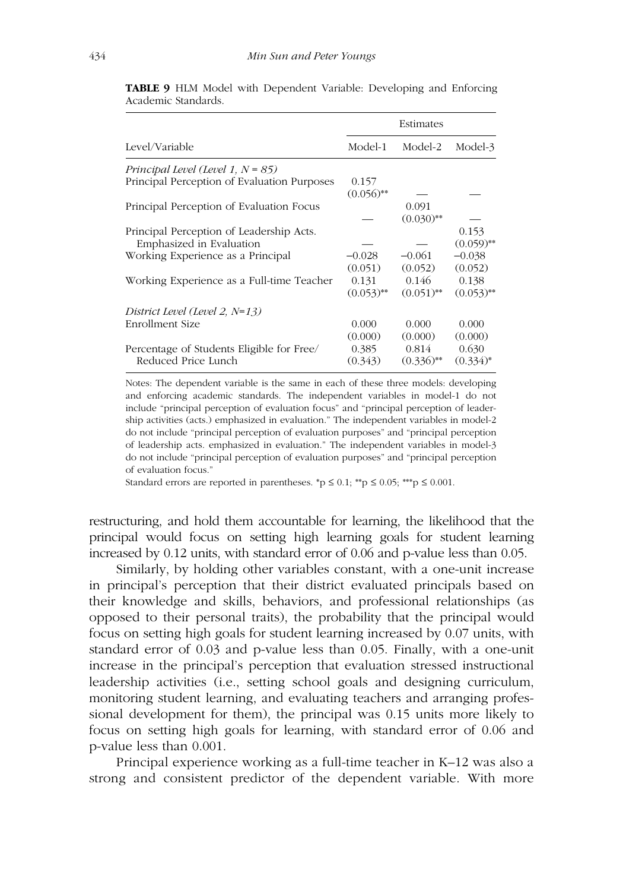|                                             |              | Estimates    |              |
|---------------------------------------------|--------------|--------------|--------------|
| Level/Variable                              | Model-1      | Model-2      | Model-3      |
| Principal Level (Level 1, $N = 85$ )        |              |              |              |
| Principal Perception of Evaluation Purposes | 0.157        |              |              |
|                                             | $(0.056)$ ** |              |              |
| Principal Perception of Evaluation Focus    |              | 0.091        |              |
|                                             |              | $(0.030)$ ** |              |
| Principal Perception of Leadership Acts.    |              |              | 0.153        |
| Emphasized in Evaluation                    |              |              | $(0.059)$ ** |
| Working Experience as a Principal           | $-0.028$     | $-0.061$     | $-0.038$     |
|                                             | (0.051)      | (0.052)      | (0.052)      |
| Working Experience as a Full-time Teacher   | 0.131        | 0.146        | 0.138        |
|                                             | $(0.053)$ ** | $(0.051)$ ** | $(0.053)$ ** |
| District Level (Level 2, $N=13$ )           |              |              |              |
| Enrollment Size                             | 0.000        | 0.000        | 0.000        |
|                                             | (0.000)      | (0.000)      | (0.000)      |
| Percentage of Students Eligible for Free/   | 0.385        | 0.814        | 0.630        |
| Reduced Price Lunch                         | (0.343)      | $(0.336)$ ** | $(0.334)^*$  |

**TABLE 9** HLM Model with Dependent Variable: Developing and Enforcing Academic Standards.

Notes: The dependent variable is the same in each of these three models: developing and enforcing academic standards. The independent variables in model-1 do not include "principal perception of evaluation focus" and "principal perception of leadership activities (acts.) emphasized in evaluation." The independent variables in model-2 do not include "principal perception of evaluation purposes" and "principal perception of leadership acts. emphasized in evaluation." The independent variables in model-3 do not include "principal perception of evaluation purposes" and "principal perception of evaluation focus."

Standard errors are reported in parentheses. \*p  $\leq 0.1$ ; \*\*p  $\leq 0.05$ ; \*\*\*p  $\leq 0.001$ .

restructuring, and hold them accountable for learning, the likelihood that the principal would focus on setting high learning goals for student learning increased by 0.12 units, with standard error of 0.06 and p-value less than 0.05.

Similarly, by holding other variables constant, with a one-unit increase in principal's perception that their district evaluated principals based on their knowledge and skills, behaviors, and professional relationships (as opposed to their personal traits), the probability that the principal would focus on setting high goals for student learning increased by 0.07 units, with standard error of 0.03 and p-value less than 0.05. Finally, with a one-unit increase in the principal's perception that evaluation stressed instructional leadership activities (i.e., setting school goals and designing curriculum, monitoring student learning, and evaluating teachers and arranging professional development for them), the principal was 0.15 units more likely to focus on setting high goals for learning, with standard error of 0.06 and p-value less than 0.001.

Principal experience working as a full-time teacher in K–12 was also a strong and consistent predictor of the dependent variable. With more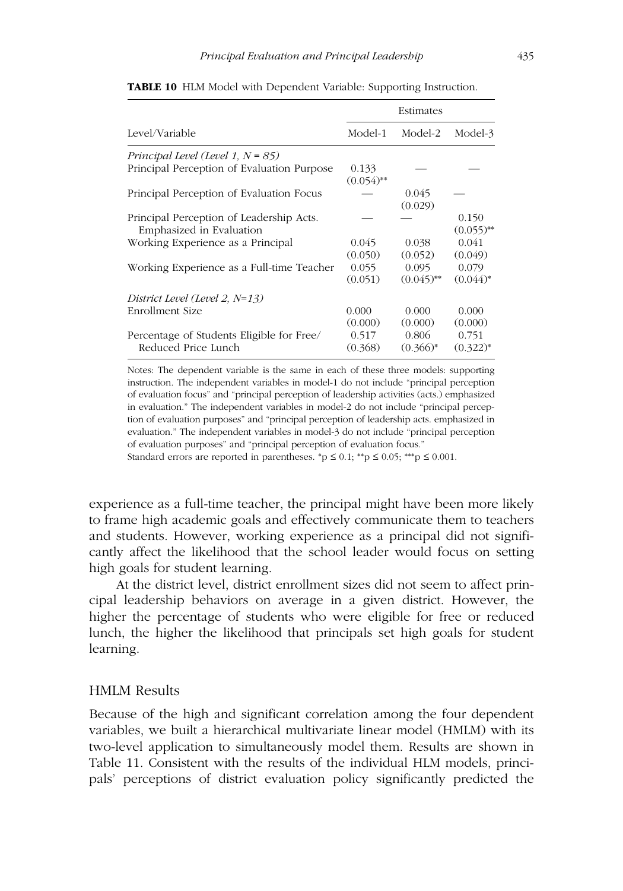|                                                                      |                       | Estimates             |                                 |
|----------------------------------------------------------------------|-----------------------|-----------------------|---------------------------------|
| Level/Variable                                                       | Model-1               | Model-2               | Model-3                         |
| Principal Level (Level 1, $N = 85$ )                                 |                       |                       |                                 |
| Principal Perception of Evaluation Purpose                           | 0.133<br>$(0.054)$ ** |                       |                                 |
| Principal Perception of Evaluation Focus                             |                       | 0.045<br>(0.029)      |                                 |
| Principal Perception of Leadership Acts.<br>Emphasized in Evaluation |                       |                       | 0.150<br>$(0.055)$ **           |
| Working Experience as a Principal                                    | 0.045<br>(0.050)      | 0.038<br>(0.052)      | 0.041<br>(0.049)                |
| Working Experience as a Full-time Teacher                            | 0.055<br>(0.051)      | 0.095<br>$(0.045)$ ** | 0.079<br>$(0.044)$ <sup>*</sup> |
| District Level (Level 2, N=13)                                       |                       |                       |                                 |
| Enrollment Size                                                      | 0.000<br>(0.000)      | 0.000<br>(0.000)      | 0.000<br>(0.000)                |
| Percentage of Students Eligible for Free/<br>Reduced Price Lunch     | 0.517<br>(0.368)      | 0.806<br>$(0.366)^*$  | 0.751<br>$(0.322)^*$            |

**TABLE 10** HLM Model with Dependent Variable: Supporting Instruction.

Notes: The dependent variable is the same in each of these three models: supporting instruction. The independent variables in model-1 do not include "principal perception of evaluation focus" and "principal perception of leadership activities (acts.) emphasized in evaluation." The independent variables in model-2 do not include "principal perception of evaluation purposes" and "principal perception of leadership acts. emphasized in evaluation." The independent variables in model-3 do not include "principal perception of evaluation purposes" and "principal perception of evaluation focus."

Standard errors are reported in parentheses. \*p  $\leq 0.1$ ; \*\*p  $\leq 0.05$ ; \*\*\*p  $\leq 0.001$ .

experience as a full-time teacher, the principal might have been more likely to frame high academic goals and effectively communicate them to teachers and students. However, working experience as a principal did not significantly affect the likelihood that the school leader would focus on setting high goals for student learning.

At the district level, district enrollment sizes did not seem to affect principal leadership behaviors on average in a given district. However, the higher the percentage of students who were eligible for free or reduced lunch, the higher the likelihood that principals set high goals for student learning.

### HMLM Results

Because of the high and significant correlation among the four dependent variables, we built a hierarchical multivariate linear model (HMLM) with its two-level application to simultaneously model them. Results are shown in Table 11. Consistent with the results of the individual HLM models, principals' perceptions of district evaluation policy significantly predicted the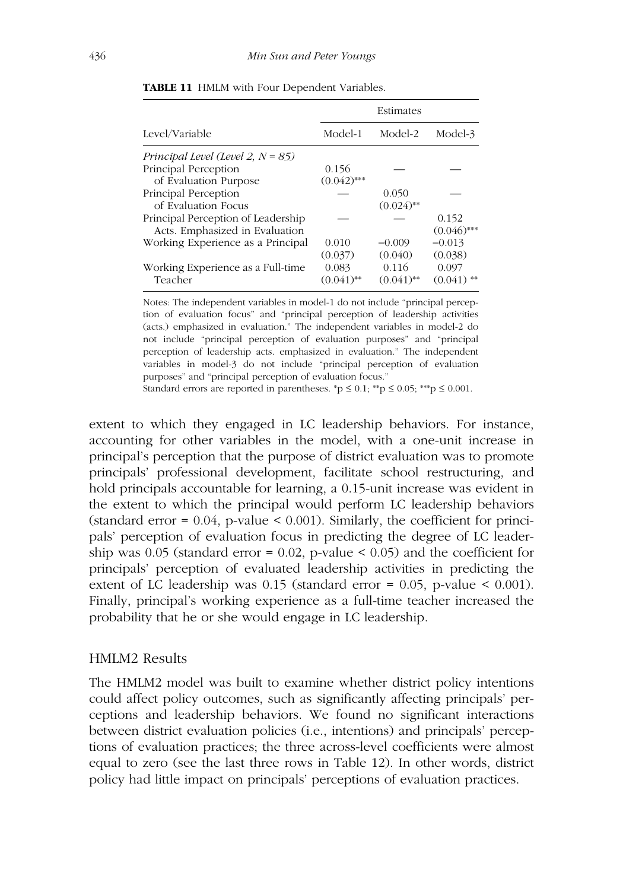|                                      | Estimates     |              |                     |  |
|--------------------------------------|---------------|--------------|---------------------|--|
| Level/Variable                       | Model-1       | Model-2      | Model-3             |  |
| Principal Level (Level 2, $N = 85$ ) |               |              |                     |  |
| Principal Perception                 | 0.156         |              |                     |  |
| of Evaluation Purpose                | $(0.042)$ *** |              |                     |  |
| Principal Perception                 |               | 0.050        |                     |  |
| of Evaluation Focus                  |               | $(0.024)$ ** |                     |  |
| Principal Perception of Leadership   |               |              | 0.152               |  |
| Acts. Emphasized in Evaluation       |               |              | $(0.046)$ ***       |  |
| Working Experience as a Principal    | 0.010         | $-0.009$     | $-0.013$            |  |
|                                      | (0.037)       | (0.040)      | (0.038)             |  |
| Working Experience as a Full-time    | 0.083         | 0.116        | 0.097               |  |
| Teacher                              | $(0.041)$ **  | $(0.041)$ ** | $\pm\pm$<br>(0.041) |  |

**TABLE 11** HMLM with Four Dependent Variables.

Notes: The independent variables in model-1 do not include "principal perception of evaluation focus" and "principal perception of leadership activities (acts.) emphasized in evaluation." The independent variables in model-2 do not include "principal perception of evaluation purposes" and "principal perception of leadership acts. emphasized in evaluation." The independent variables in model-3 do not include "principal perception of evaluation purposes" and "principal perception of evaluation focus."

Standard errors are reported in parentheses. \*p  $\leq 0.1$ ; \*\*p  $\leq 0.05$ ; \*\*\*p  $\leq 0.001$ .

extent to which they engaged in LC leadership behaviors. For instance, accounting for other variables in the model, with a one-unit increase in principal's perception that the purpose of district evaluation was to promote principals' professional development, facilitate school restructuring, and hold principals accountable for learning, a 0.15-unit increase was evident in the extent to which the principal would perform LC leadership behaviors (standard error = 0.04, p-value < 0.001). Similarly, the coefficient for principals' perception of evaluation focus in predicting the degree of LC leadership was  $0.05$  (standard error = 0.02, p-value < 0.05) and the coefficient for principals' perception of evaluated leadership activities in predicting the extent of LC leadership was  $0.15$  (standard error = 0.05, p-value < 0.001). Finally, principal's working experience as a full-time teacher increased the probability that he or she would engage in LC leadership.

### HMLM2 Results

The HMLM2 model was built to examine whether district policy intentions could affect policy outcomes, such as significantly affecting principals' perceptions and leadership behaviors. We found no significant interactions between district evaluation policies (i.e., intentions) and principals' perceptions of evaluation practices; the three across-level coefficients were almost equal to zero (see the last three rows in Table 12). In other words, district policy had little impact on principals' perceptions of evaluation practices.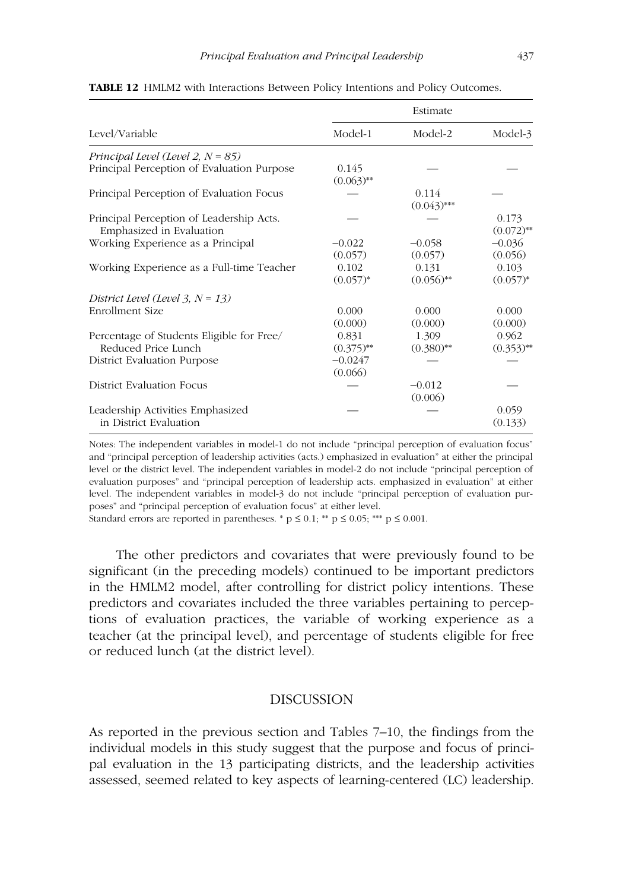|                                                                      |                       | Estimate               |                       |
|----------------------------------------------------------------------|-----------------------|------------------------|-----------------------|
| Level/Variable                                                       | Model-1               | Model-2                | Model-3               |
| Principal Level (Level 2, $N = 85$ )                                 |                       |                        |                       |
| Principal Perception of Evaluation Purpose                           | 0.145<br>$(0.063)$ ** |                        |                       |
| Principal Perception of Evaluation Focus                             |                       | 0.114<br>$(0.043)$ *** |                       |
| Principal Perception of Leadership Acts.<br>Emphasized in Evaluation |                       |                        | 0.173<br>$(0.072)$ ** |
| Working Experience as a Principal                                    | $-0.022$<br>(0.057)   | $-0.058$<br>(0.057)    | $-0.036$<br>(0.056)   |
| Working Experience as a Full-time Teacher                            | 0.102<br>$(0.057)^*$  | 0.131<br>$(0.056)$ **  | 0.103<br>$(0.057)^*$  |
| District Level (Level 3, $N = 13$ )                                  |                       |                        |                       |
| Enrollment Size                                                      | 0.000<br>(0.000)      | 0.000<br>(0.000)       | 0.000<br>(0.000)      |
| Percentage of Students Eligible for Free/<br>Reduced Price Lunch     | 0.831<br>$(0.375)$ ** | 1.309<br>$(0.380)$ **  | 0.962<br>$(0.353)$ ** |
| District Evaluation Purpose                                          | $-0.0247$<br>(0.066)  |                        |                       |
| <b>District Evaluation Focus</b>                                     |                       | $-0.012$<br>(0.006)    |                       |
| Leadership Activities Emphasized<br>in District Evaluation           |                       |                        | 0.059<br>(0.133)      |

#### **TABLE 12** HMLM2 with Interactions Between Policy Intentions and Policy Outcomes.

Notes: The independent variables in model-1 do not include "principal perception of evaluation focus" and "principal perception of leadership activities (acts.) emphasized in evaluation" at either the principal level or the district level. The independent variables in model-2 do not include "principal perception of evaluation purposes" and "principal perception of leadership acts. emphasized in evaluation" at either level. The independent variables in model-3 do not include "principal perception of evaluation purposes" and "principal perception of evaluation focus" at either level.

Standard errors are reported in parentheses. \*  $p \le 0.1$ ; \*\*\*  $p \le 0.05$ ; \*\*\*  $p \le 0.001$ .

The other predictors and covariates that were previously found to be significant (in the preceding models) continued to be important predictors in the HMLM2 model, after controlling for district policy intentions. These predictors and covariates included the three variables pertaining to perceptions of evaluation practices, the variable of working experience as a teacher (at the principal level), and percentage of students eligible for free or reduced lunch (at the district level).

#### DISCUSSION

As reported in the previous section and Tables 7–10, the findings from the individual models in this study suggest that the purpose and focus of principal evaluation in the 13 participating districts, and the leadership activities assessed, seemed related to key aspects of learning-centered (LC) leadership.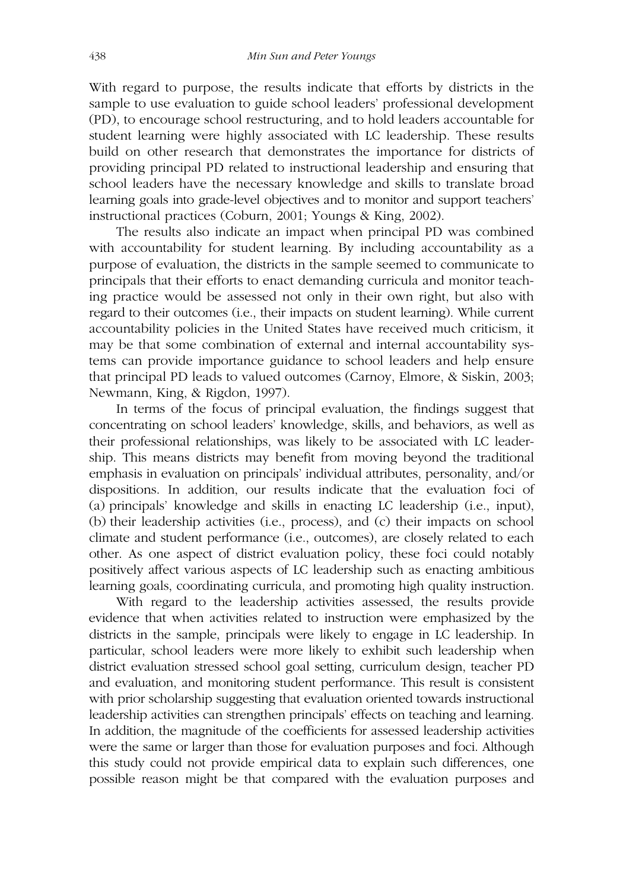With regard to purpose, the results indicate that efforts by districts in the sample to use evaluation to guide school leaders' professional development (PD), to encourage school restructuring, and to hold leaders accountable for student learning were highly associated with LC leadership. These results build on other research that demonstrates the importance for districts of providing principal PD related to instructional leadership and ensuring that school leaders have the necessary knowledge and skills to translate broad learning goals into grade-level objectives and to monitor and support teachers' instructional practices (Coburn, 2001; Youngs & King, 2002).

The results also indicate an impact when principal PD was combined with accountability for student learning. By including accountability as a purpose of evaluation, the districts in the sample seemed to communicate to principals that their efforts to enact demanding curricula and monitor teaching practice would be assessed not only in their own right, but also with regard to their outcomes (i.e., their impacts on student learning). While current accountability policies in the United States have received much criticism, it may be that some combination of external and internal accountability systems can provide importance guidance to school leaders and help ensure that principal PD leads to valued outcomes (Carnoy, Elmore, & Siskin, 2003; Newmann, King, & Rigdon, 1997).

In terms of the focus of principal evaluation, the findings suggest that concentrating on school leaders' knowledge, skills, and behaviors, as well as their professional relationships, was likely to be associated with LC leadership. This means districts may benefit from moving beyond the traditional emphasis in evaluation on principals' individual attributes, personality, and/or dispositions. In addition, our results indicate that the evaluation foci of (a) principals' knowledge and skills in enacting LC leadership (i.e., input), (b) their leadership activities (i.e., process), and (c) their impacts on school climate and student performance (i.e., outcomes), are closely related to each other. As one aspect of district evaluation policy, these foci could notably positively affect various aspects of LC leadership such as enacting ambitious learning goals, coordinating curricula, and promoting high quality instruction.

With regard to the leadership activities assessed, the results provide evidence that when activities related to instruction were emphasized by the districts in the sample, principals were likely to engage in LC leadership. In particular, school leaders were more likely to exhibit such leadership when district evaluation stressed school goal setting, curriculum design, teacher PD and evaluation, and monitoring student performance. This result is consistent with prior scholarship suggesting that evaluation oriented towards instructional leadership activities can strengthen principals' effects on teaching and learning. In addition, the magnitude of the coefficients for assessed leadership activities were the same or larger than those for evaluation purposes and foci. Although this study could not provide empirical data to explain such differences, one possible reason might be that compared with the evaluation purposes and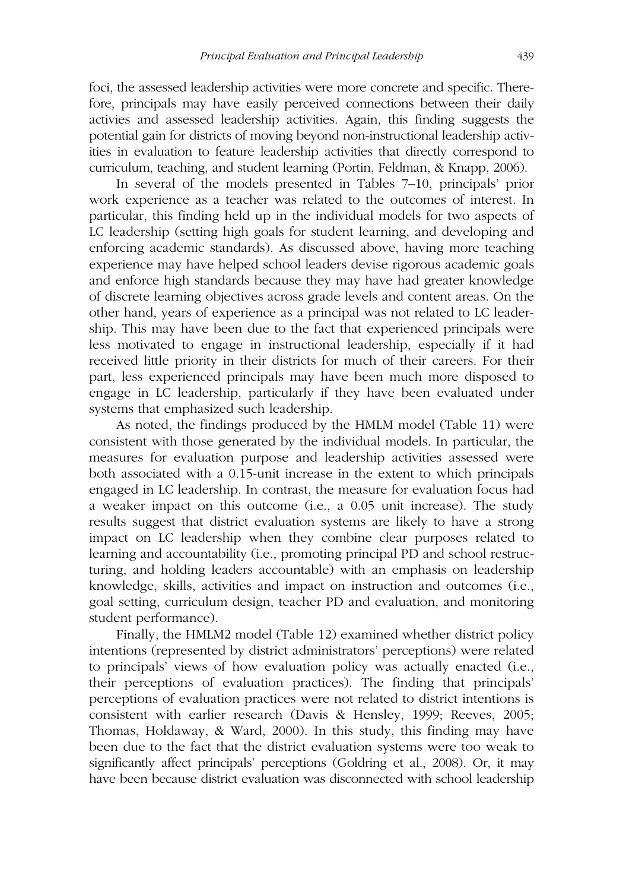foci, the assessed leadership activities were more concrete and specific. Therefore, principals may have easily perceived connections between their daily activies and assessed leadership activities. Again, this finding suggests the potential gain for districts of moving beyond non-instructional leadership activities in evaluation to feature leadership activities that directly correspond to curriculum, teaching, and student learning (Portin, Feldman, & Knapp, 2006).

In several of the models presented in Tables 7–10, principals' prior work experience as a teacher was related to the outcomes of interest. In particular, this finding held up in the individual models for two aspects of LC leadership (setting high goals for student learning, and developing and enforcing academic standards). As discussed above, having more teaching experience may have helped school leaders devise rigorous academic goals and enforce high standards because they may have had greater knowledge of discrete learning objectives across grade levels and content areas. On the other hand, years of experience as a principal was not related to LC leadership. This may have been due to the fact that experienced principals were less motivated to engage in instructional leadership, especially if it had received little priority in their districts for much of their careers. For their part, less experienced principals may have been much more disposed to engage in LC leadership, particularly if they have been evaluated under systems that emphasized such leadership.

As noted, the findings produced by the HMLM model (Table 11) were consistent with those generated by the individual models. In particular, the measures for evaluation purpose and leadership activities assessed were both associated with a 0.15-unit increase in the extent to which principals engaged in LC leadership. In contrast, the measure for evaluation focus had a weaker impact on this outcome (i.e., a 0.05 unit increase). The study results suggest that district evaluation systems are likely to have a strong impact on LC leadership when they combine clear purposes related to learning and accountability (i.e., promoting principal PD and school restructuring, and holding leaders accountable) with an emphasis on leadership knowledge, skills, activities and impact on instruction and outcomes (i.e., goal setting, curriculum design, teacher PD and evaluation, and monitoring student performance).

Finally, the HMLM2 model (Table 12) examined whether district policy intentions (represented by district administrators' perceptions) were related to principals' views of how evaluation policy was actually enacted (i.e., their perceptions of evaluation practices). The finding that principals' perceptions of evaluation practices were not related to district intentions is consistent with earlier research (Davis & Hensley, 1999; Reeves, 2005; Thomas, Holdaway, & Ward, 2000). In this study, this finding may have been due to the fact that the district evaluation systems were too weak to significantly affect principals' perceptions (Goldring et al., 2008). Or, it may have been because district evaluation was disconnected with school leadership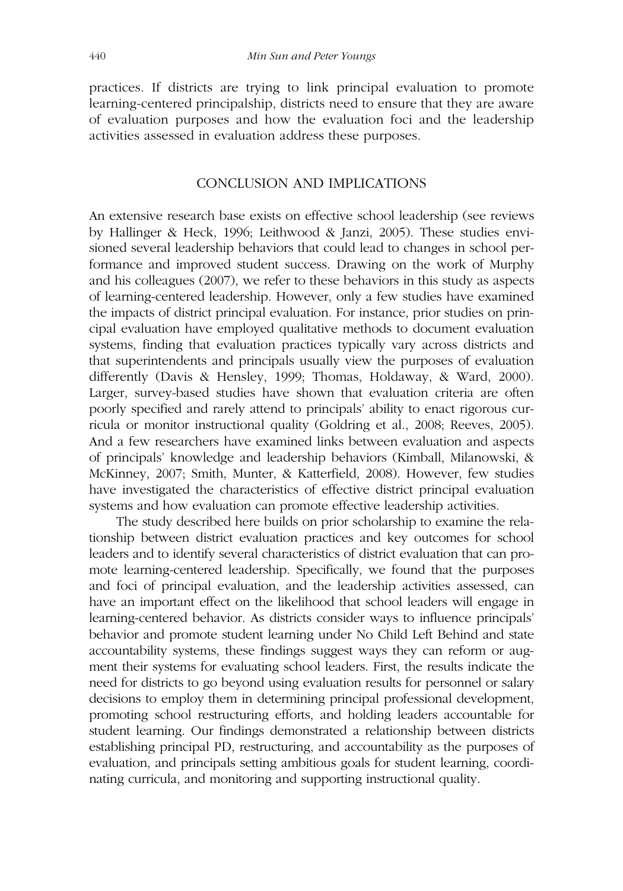practices. If districts are trying to link principal evaluation to promote learning-centered principalship, districts need to ensure that they are aware of evaluation purposes and how the evaluation foci and the leadership activities assessed in evaluation address these purposes.

### CONCLUSION AND IMPLICATIONS

An extensive research base exists on effective school leadership (see reviews by Hallinger & Heck, 1996; Leithwood & Janzi, 2005). These studies envisioned several leadership behaviors that could lead to changes in school performance and improved student success. Drawing on the work of Murphy and his colleagues (2007), we refer to these behaviors in this study as aspects of learning-centered leadership. However, only a few studies have examined the impacts of district principal evaluation. For instance, prior studies on principal evaluation have employed qualitative methods to document evaluation systems, finding that evaluation practices typically vary across districts and that superintendents and principals usually view the purposes of evaluation differently (Davis & Hensley, 1999; Thomas, Holdaway, & Ward, 2000). Larger, survey-based studies have shown that evaluation criteria are often poorly specified and rarely attend to principals' ability to enact rigorous curricula or monitor instructional quality (Goldring et al., 2008; Reeves, 2005). And a few researchers have examined links between evaluation and aspects of principals' knowledge and leadership behaviors (Kimball, Milanowski, & McKinney, 2007; Smith, Munter, & Katterfield, 2008). However, few studies have investigated the characteristics of effective district principal evaluation systems and how evaluation can promote effective leadership activities.

The study described here builds on prior scholarship to examine the relationship between district evaluation practices and key outcomes for school leaders and to identify several characteristics of district evaluation that can promote learning-centered leadership. Specifically, we found that the purposes and foci of principal evaluation, and the leadership activities assessed, can have an important effect on the likelihood that school leaders will engage in learning-centered behavior. As districts consider ways to influence principals' behavior and promote student learning under No Child Left Behind and state accountability systems, these findings suggest ways they can reform or augment their systems for evaluating school leaders. First, the results indicate the need for districts to go beyond using evaluation results for personnel or salary decisions to employ them in determining principal professional development, promoting school restructuring efforts, and holding leaders accountable for student learning. Our findings demonstrated a relationship between districts establishing principal PD, restructuring, and accountability as the purposes of evaluation, and principals setting ambitious goals for student learning, coordinating curricula, and monitoring and supporting instructional quality.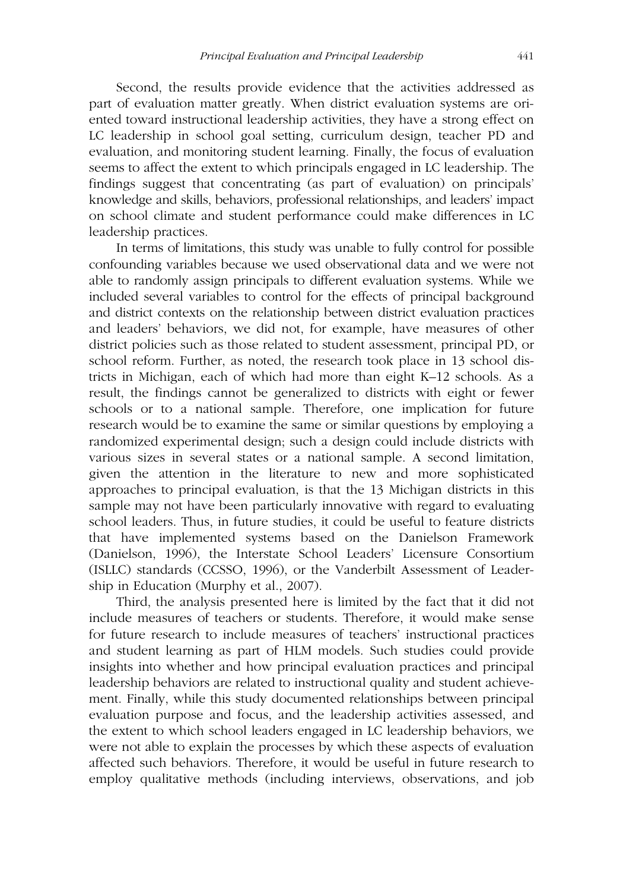Second, the results provide evidence that the activities addressed as part of evaluation matter greatly. When district evaluation systems are oriented toward instructional leadership activities, they have a strong effect on LC leadership in school goal setting, curriculum design, teacher PD and evaluation, and monitoring student learning. Finally, the focus of evaluation seems to affect the extent to which principals engaged in LC leadership. The findings suggest that concentrating (as part of evaluation) on principals' knowledge and skills, behaviors, professional relationships, and leaders' impact on school climate and student performance could make differences in LC leadership practices.

In terms of limitations, this study was unable to fully control for possible confounding variables because we used observational data and we were not able to randomly assign principals to different evaluation systems. While we included several variables to control for the effects of principal background and district contexts on the relationship between district evaluation practices and leaders' behaviors, we did not, for example, have measures of other district policies such as those related to student assessment, principal PD, or school reform. Further, as noted, the research took place in 13 school districts in Michigan, each of which had more than eight K–12 schools. As a result, the findings cannot be generalized to districts with eight or fewer schools or to a national sample. Therefore, one implication for future research would be to examine the same or similar questions by employing a randomized experimental design; such a design could include districts with various sizes in several states or a national sample. A second limitation, given the attention in the literature to new and more sophisticated approaches to principal evaluation, is that the 13 Michigan districts in this sample may not have been particularly innovative with regard to evaluating school leaders. Thus, in future studies, it could be useful to feature districts that have implemented systems based on the Danielson Framework (Danielson, 1996), the Interstate School Leaders' Licensure Consortium (ISLLC) standards (CCSSO, 1996), or the Vanderbilt Assessment of Leadership in Education (Murphy et al., 2007).

Third, the analysis presented here is limited by the fact that it did not include measures of teachers or students. Therefore, it would make sense for future research to include measures of teachers' instructional practices and student learning as part of HLM models. Such studies could provide insights into whether and how principal evaluation practices and principal leadership behaviors are related to instructional quality and student achievement. Finally, while this study documented relationships between principal evaluation purpose and focus, and the leadership activities assessed, and the extent to which school leaders engaged in LC leadership behaviors, we were not able to explain the processes by which these aspects of evaluation affected such behaviors. Therefore, it would be useful in future research to employ qualitative methods (including interviews, observations, and job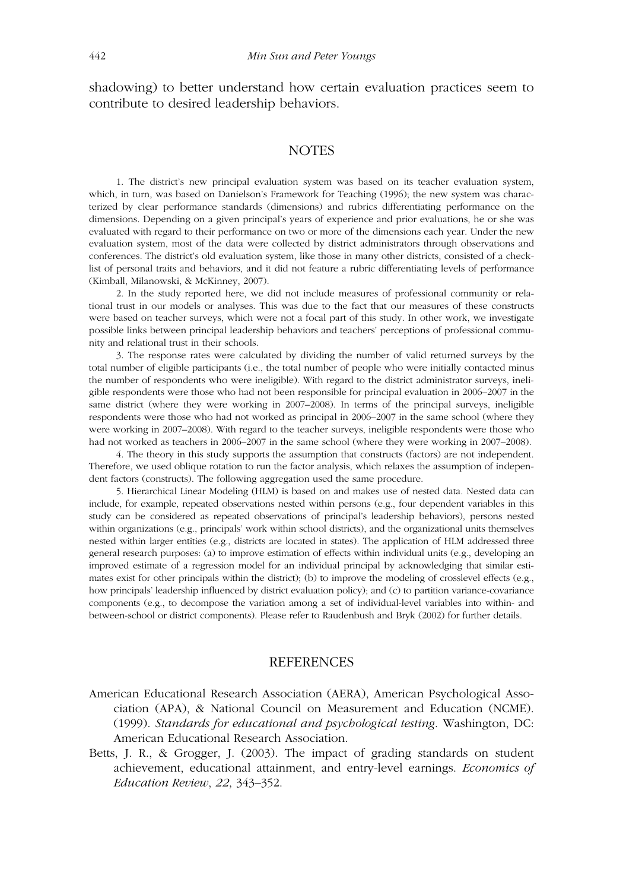shadowing) to better understand how certain evaluation practices seem to contribute to desired leadership behaviors.

### **NOTES**

1. The district's new principal evaluation system was based on its teacher evaluation system, which, in turn, was based on Danielson's Framework for Teaching (1996); the new system was characterized by clear performance standards (dimensions) and rubrics differentiating performance on the dimensions. Depending on a given principal's years of experience and prior evaluations, he or she was evaluated with regard to their performance on two or more of the dimensions each year. Under the new evaluation system, most of the data were collected by district administrators through observations and conferences. The district's old evaluation system, like those in many other districts, consisted of a checklist of personal traits and behaviors, and it did not feature a rubric differentiating levels of performance (Kimball, Milanowski, & McKinney, 2007).

2. In the study reported here, we did not include measures of professional community or relational trust in our models or analyses. This was due to the fact that our measures of these constructs were based on teacher surveys, which were not a focal part of this study. In other work, we investigate possible links between principal leadership behaviors and teachers' perceptions of professional community and relational trust in their schools.

3. The response rates were calculated by dividing the number of valid returned surveys by the total number of eligible participants (i.e., the total number of people who were initially contacted minus the number of respondents who were ineligible). With regard to the district administrator surveys, ineligible respondents were those who had not been responsible for principal evaluation in 2006–2007 in the same district (where they were working in 2007–2008). In terms of the principal surveys, ineligible respondents were those who had not worked as principal in 2006–2007 in the same school (where they were working in 2007–2008). With regard to the teacher surveys, ineligible respondents were those who had not worked as teachers in 2006–2007 in the same school (where they were working in 2007–2008).

4. The theory in this study supports the assumption that constructs (factors) are not independent. Therefore, we used oblique rotation to run the factor analysis, which relaxes the assumption of independent factors (constructs). The following aggregation used the same procedure.

5. Hierarchical Linear Modeling (HLM) is based on and makes use of nested data. Nested data can include, for example, repeated observations nested within persons (e.g., four dependent variables in this study can be considered as repeated observations of principal's leadership behaviors), persons nested within organizations (e.g., principals' work within school districts), and the organizational units themselves nested within larger entities (e.g., districts are located in states). The application of HLM addressed three general research purposes: (a) to improve estimation of effects within individual units (e.g., developing an improved estimate of a regression model for an individual principal by acknowledging that similar estimates exist for other principals within the district); (b) to improve the modeling of crosslevel effects (e.g., how principals' leadership influenced by district evaluation policy); and (c) to partition variance-covariance components (e.g., to decompose the variation among a set of individual-level variables into within- and between-school or district components). Please refer to Raudenbush and Bryk (2002) for further details.

#### **REFERENCES**

- American Educational Research Association (AERA), American Psychological Association (APA), & National Council on Measurement and Education (NCME). (1999). *Standards for educational and psychological testing*. Washington, DC: American Educational Research Association.
- Betts, J. R., & Grogger, J. (2003). The impact of grading standards on student achievement, educational attainment, and entry-level earnings. *Economics of Education Review*, *22*, 343–352.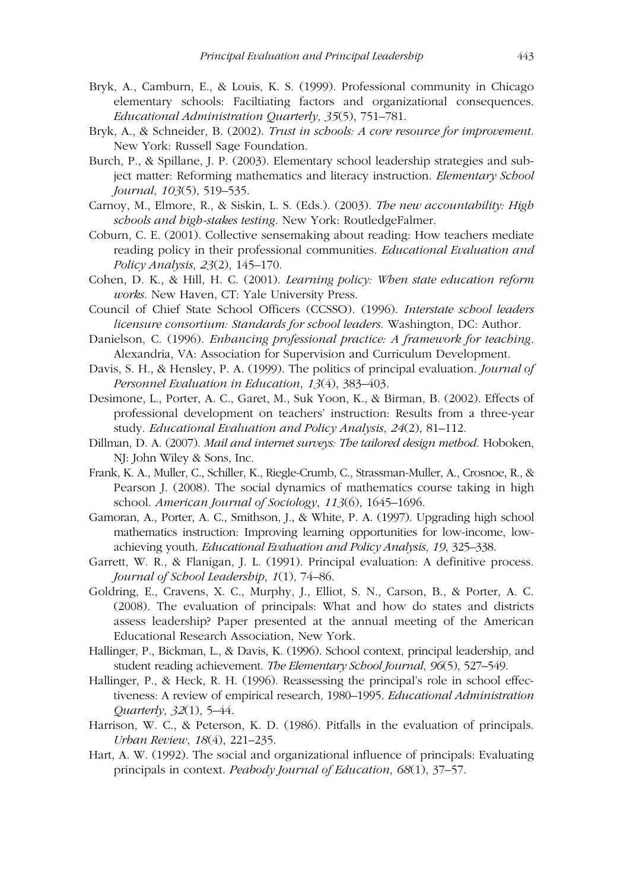- Bryk, A., Camburn, E., & Louis, K. S. (1999). Professional community in Chicago elementary schools: Faciltiating factors and organizational consequences. *Educational Administration Quarterly*, *35*(5), 751–781.
- Bryk, A., & Schneider, B. (2002). *Trust in schools: A core resource for improvement*. New York: Russell Sage Foundation.
- Burch, P., & Spillane, J. P. (2003). Elementary school leadership strategies and subject matter: Reforming mathematics and literacy instruction. *Elementary School Journal*, *103*(5), 519–535.
- Carnoy, M., Elmore, R., & Siskin, L. S. (Eds.). (2003). *The new accountability: High schools and high-stakes testing*. New York: RoutledgeFalmer.
- Coburn, C. E. (2001). Collective sensemaking about reading: How teachers mediate reading policy in their professional communities. *Educational Evaluation and Policy Analysis*, *23*(2), 145–170.
- Cohen, D. K., & Hill, H. C. (2001). *Learning policy: When state education reform works*. New Haven, CT: Yale University Press.
- Council of Chief State School Officers (CCSSO). (1996). *Interstate school leaders licensure consortium: Standards for school leaders*. Washington, DC: Author.
- Danielson, C. (1996). *Enhancing professional practice: A framework for teaching*. Alexandria, VA: Association for Supervision and Curriculum Development.
- Davis, S. H., & Hensley, P. A. (1999). The politics of principal evaluation. *Journal of Personnel Evaluation in Education*, *13*(4), 383–403.
- Desimone, L., Porter, A. C., Garet, M., Suk Yoon, K., & Birman, B. (2002). Effects of professional development on teachers' instruction: Results from a three-year study. *Educational Evaluation and Policy Analysis*, *24*(2), 81–112.
- Dillman, D. A. (2007). *Mail and internet surveys: The tailored design method*. Hoboken, NJ: John Wiley & Sons, Inc.
- Frank, K. A., Muller, C., Schiller, K., Riegle-Crumb, C., Strassman-Muller, A., Crosnoe, R., & Pearson J. (2008). The social dynamics of mathematics course taking in high school. *American Journal of Sociology*, *113*(6), 1645–1696.
- Gamoran, A., Porter, A. C., Smithson, J., & White, P. A. (1997). Upgrading high school mathematics instruction: Improving learning opportunities for low-income, lowachieving youth. *Educational Evaluation and Policy Analysis*, *19*, 325–338.
- Garrett, W. R., & Flanigan, J. L. (1991). Principal evaluation: A definitive process. *Journal of School Leadership*, *1*(1), 74–86.
- Goldring, E., Cravens, X. C., Murphy, J., Elliot, S. N., Carson, B., & Porter, A. C. (2008). The evaluation of principals: What and how do states and districts assess leadership? Paper presented at the annual meeting of the American Educational Research Association, New York.
- Hallinger, P., Bickman, L., & Davis, K. (1996). School context, principal leadership, and student reading achievement. *The Elementary School Journal*, *96*(5), 527–549.
- Hallinger, P., & Heck, R. H. (1996). Reassessing the principal's role in school effectiveness: A review of empirical research, 1980–1995. *Educational Administration Quarterly*, *32*(1), 5–44.
- Harrison, W. C., & Peterson, K. D. (1986). Pitfalls in the evaluation of principals. *Urban Review*, *18*(4), 221–235.
- Hart, A. W. (1992). The social and organizational influence of principals: Evaluating principals in context. *Peabody Journal of Education*, *68*(1), 37–57.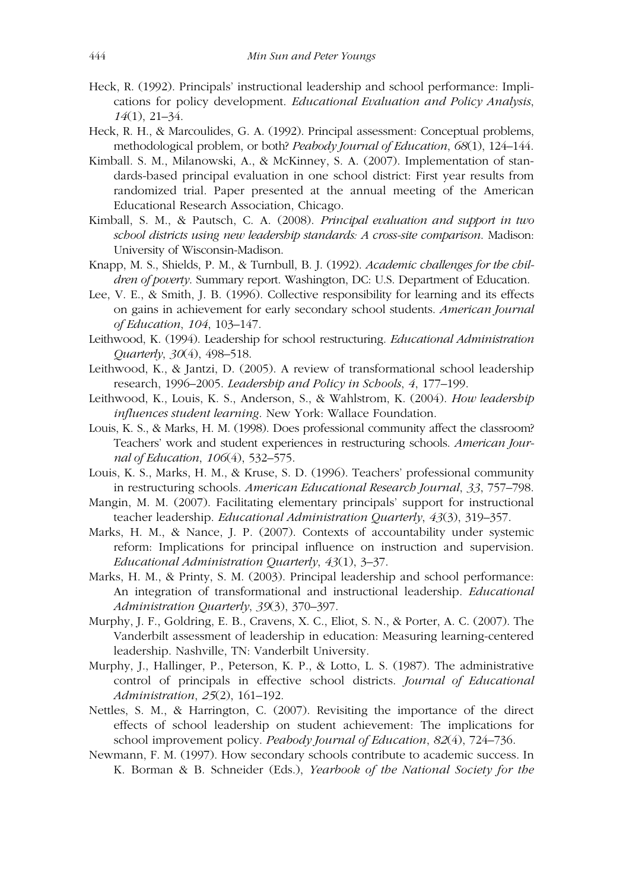- Heck, R. (1992). Principals' instructional leadership and school performance: Implications for policy development. *Educational Evaluation and Policy Analysis*, *14*(1), 21–34.
- Heck, R. H., & Marcoulides, G. A. (1992). Principal assessment: Conceptual problems, methodological problem, or both? *Peabody Journal of Education*, *68*(1), 124–144.
- Kimball. S. M., Milanowski, A., & McKinney, S. A. (2007). Implementation of standards-based principal evaluation in one school district: First year results from randomized trial. Paper presented at the annual meeting of the American Educational Research Association, Chicago.
- Kimball, S. M., & Pautsch, C. A. (2008). *Principal evaluation and support in two school districts using new leadership standards: A cross-site comparison*. Madison: University of Wisconsin-Madison.
- Knapp, M. S., Shields, P. M., & Turnbull, B. J. (1992). *Academic challenges for the children of poverty*. Summary report. Washington, DC: U.S. Department of Education.
- Lee, V. E., & Smith, J. B. (1996). Collective responsibility for learning and its effects on gains in achievement for early secondary school students. *American Journal of Education*, *104*, 103–147.
- Leithwood, K. (1994). Leadership for school restructuring. *Educational Administration Quarterly*, *30*(4), 498–518.
- Leithwood, K., & Jantzi, D. (2005). A review of transformational school leadership research, 1996–2005. *Leadership and Policy in Schools*, *4*, 177–199.
- Leithwood, K., Louis, K. S., Anderson, S., & Wahlstrom, K. (2004). *How leadership influences student learning*. New York: Wallace Foundation.
- Louis, K. S., & Marks, H. M. (1998). Does professional community affect the classroom? Teachers' work and student experiences in restructuring schools. *American Journal of Education*, *106*(4), 532–575.
- Louis, K. S., Marks, H. M., & Kruse, S. D. (1996). Teachers' professional community in restructuring schools. *American Educational Research Journal*, *33*, 757–798.
- Mangin, M. M. (2007). Facilitating elementary principals' support for instructional teacher leadership. *Educational Administration Quarterly*, *43*(3), 319–357.
- Marks, H. M., & Nance, J. P. (2007). Contexts of accountability under systemic reform: Implications for principal influence on instruction and supervision. *Educational Administration Quarterly*, *43*(1), 3–37.
- Marks, H. M., & Printy, S. M. (2003). Principal leadership and school performance: An integration of transformational and instructional leadership. *Educational Administration Quarterly*, *39*(3), 370–397.
- Murphy, J. F., Goldring, E. B., Cravens, X. C., Eliot, S. N., & Porter, A. C. (2007). The Vanderbilt assessment of leadership in education: Measuring learning-centered leadership. Nashville, TN: Vanderbilt University.
- Murphy, J., Hallinger, P., Peterson, K. P., & Lotto, L. S. (1987). The administrative control of principals in effective school districts. *Journal of Educational Administration*, *25*(2), 161–192.
- Nettles, S. M., & Harrington, C. (2007). Revisiting the importance of the direct effects of school leadership on student achievement: The implications for school improvement policy. *Peabody Journal of Education*, *82*(4), 724–736.
- Newmann, F. M. (1997). How secondary schools contribute to academic success. In K. Borman & B. Schneider (Eds.), *Yearbook of the National Society for the*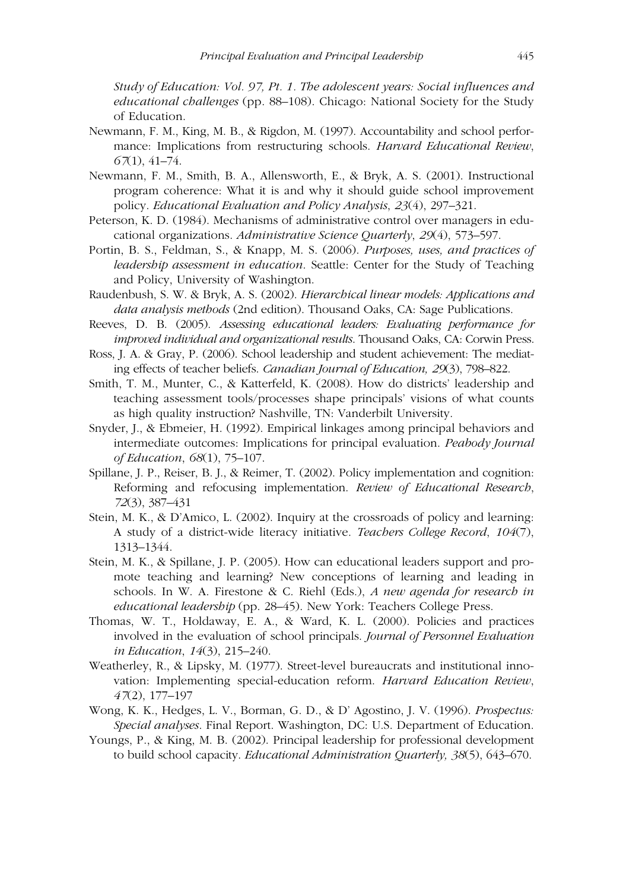*Study of Education: Vol. 97, Pt. 1. The adolescent years: Social influences and educational challenges* (pp. 88–108). Chicago: National Society for the Study of Education.

- Newmann, F. M., King, M. B., & Rigdon, M. (1997). Accountability and school performance: Implications from restructuring schools. *Harvard Educational Review*, *67*(1), 41–74.
- Newmann, F. M., Smith, B. A., Allensworth, E., & Bryk, A. S. (2001). Instructional program coherence: What it is and why it should guide school improvement policy. *Educational Evaluation and Policy Analysis*, *23*(4), 297–321.
- Peterson, K. D. (1984). Mechanisms of administrative control over managers in educational organizations. *Administrative Science Quarterly*, *29*(4), 573–597.
- Portin, B. S., Feldman, S., & Knapp, M. S. (2006). *Purposes, uses, and practices of leadership assessment in education*. Seattle: Center for the Study of Teaching and Policy, University of Washington.
- Raudenbush, S. W. & Bryk, A. S. (2002). *Hierarchical linear models: Applications and data analysis methods* (2nd edition). Thousand Oaks, CA: Sage Publications.
- Reeves, D. B. (2005). *Assessing educational leaders: Evaluating performance for improved individual and organizational results*. Thousand Oaks, CA: Corwin Press.
- Ross, J. A. & Gray, P. (2006). School leadership and student achievement: The mediating effects of teacher beliefs. *Canadian Journal of Education, 29*(3), 798–822.
- Smith, T. M., Munter, C., & Katterfeld, K. (2008). How do districts' leadership and teaching assessment tools/processes shape principals' visions of what counts as high quality instruction? Nashville, TN: Vanderbilt University.
- Snyder, J., & Ebmeier, H. (1992). Empirical linkages among principal behaviors and intermediate outcomes: Implications for principal evaluation. *Peabody Journal of Education*, *68*(1), 75–107.
- Spillane, J. P., Reiser, B. J., & Reimer, T. (2002). Policy implementation and cognition: Reforming and refocusing implementation. *Review of Educational Research*, *72*(3), 387–431
- Stein, M. K., & D'Amico, L. (2002). Inquiry at the crossroads of policy and learning: A study of a district-wide literacy initiative. *Teachers College Record*, *104*(7), 1313–1344.
- Stein, M. K., & Spillane, J. P. (2005). How can educational leaders support and promote teaching and learning? New conceptions of learning and leading in schools. In W. A. Firestone & C. Riehl (Eds.), *A new agenda for research in educational leadership* (pp. 28–45). New York: Teachers College Press.
- Thomas, W. T., Holdaway, E. A., & Ward, K. L. (2000). Policies and practices involved in the evaluation of school principals. *Journal of Personnel Evaluation in Education*, *14*(3), 215–240.
- Weatherley, R., & Lipsky, M. (1977). Street-level bureaucrats and institutional innovation: Implementing special-education reform. *Harvard Education Review*, *47*(2), 177–197
- Wong, K. K., Hedges, L. V., Borman, G. D., & D' Agostino, J. V. (1996). *Prospectus: Special analyses*. Final Report. Washington, DC: U.S. Department of Education.
- Youngs, P., & King, M. B. (2002). Principal leadership for professional development to build school capacity. *Educational Administration Quarterly, 38*(5), 643–670.